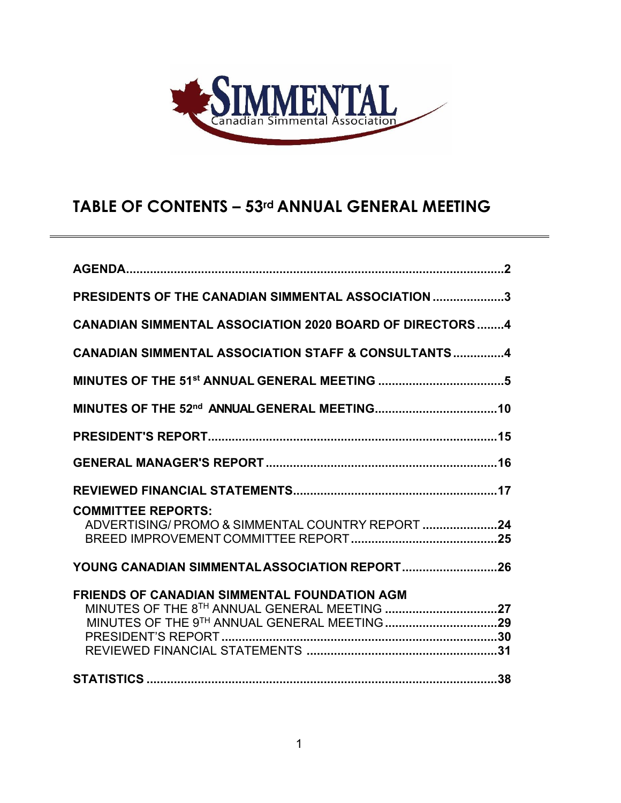

# **TABLE OF CONTENTS – 53rd ANNUAL GENERAL MEETING**

| PRESIDENTS OF THE CANADIAN SIMMENTAL ASSOCIATION 3                                                  |
|-----------------------------------------------------------------------------------------------------|
| <b>CANADIAN SIMMENTAL ASSOCIATION 2020 BOARD OF DIRECTORS 4</b>                                     |
| <b>CANADIAN SIMMENTAL ASSOCIATION STAFF &amp; CONSULTANTS4</b>                                      |
|                                                                                                     |
|                                                                                                     |
|                                                                                                     |
|                                                                                                     |
|                                                                                                     |
| <b>COMMITTEE REPORTS:</b><br>ADVERTISING/ PROMO & SIMMENTAL COUNTRY REPORT 24                       |
| YOUNG CANADIAN SIMMENTAL ASSOCIATION REPORT26                                                       |
| <b>FRIENDS OF CANADIAN SIMMENTAL FOUNDATION AGM</b><br>MINUTES OF THE 8TH ANNUAL GENERAL MEETING 27 |
|                                                                                                     |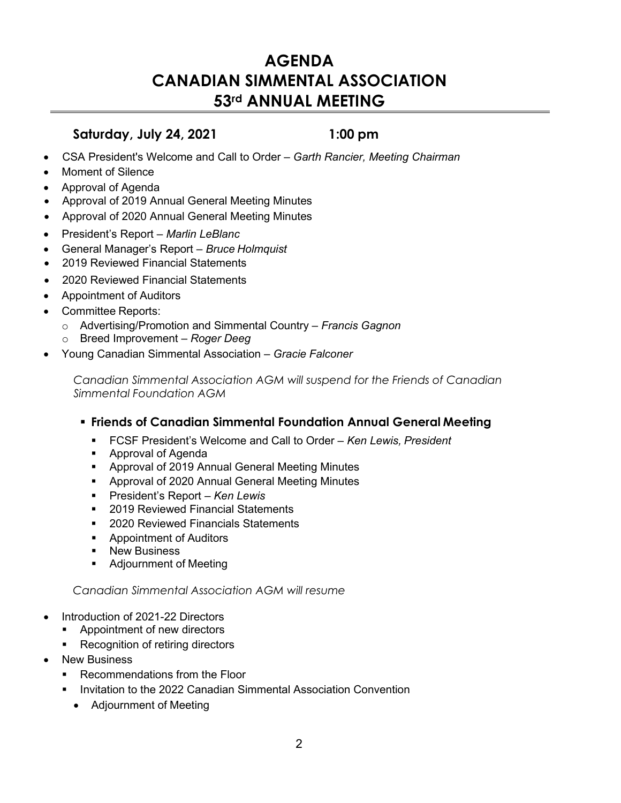# **AGENDA CANADIAN SIMMENTAL ASSOCIATION 53rd ANNUAL MEETING**

### **Saturday, July 24, 2021 1:00 pm**

- CSA President's Welcome and Call to Order *Garth Rancier, Meeting Chairman*
- Moment of Silence
- Approval of Agenda
- Approval of 2019 Annual General Meeting Minutes
- Approval of 2020 Annual General Meeting Minutes
- President's Report *Marlin LeBlanc*
- General Manager's Report *Bruce Holmquist*
- 2019 Reviewed Financial Statements
- 2020 Reviewed Financial Statements
- Appointment of Auditors
- Committee Reports:
	- o Advertising/Promotion and Simmental Country *Francis Gagnon*
	- o Breed Improvement *Roger Deeg*
- Young Canadian Simmental Association *Gracie Falconer*

*Canadian Simmental Association AGM will suspend for the Friends of Canadian Simmental Foundation AGM*

### **Friends of Canadian Simmental Foundation Annual General Meeting**

- FCSF President's Welcome and Call to Order *Ken Lewis, President*
- **Approval of Agenda**
- Approval of 2019 Annual General Meeting Minutes
- **E** Approval of 2020 Annual General Meeting Minutes
- President's Report *Ken Lewis*
- 2019 Reviewed Financial Statements
- 2020 Reviewed Financials Statements
- **Appointment of Auditors**
- **New Business**
- **Adjournment of Meeting**

### *Canadian Simmental Association AGM will resume*

- Introduction of 2021-22 Directors
	- Appointment of new directors
	- **Recognition of retiring directors**
- New Business
	- **Recommendations from the Floor**
	- **Invitation to the 2022 Canadian Simmental Association Convention** 
		- Adjournment of Meeting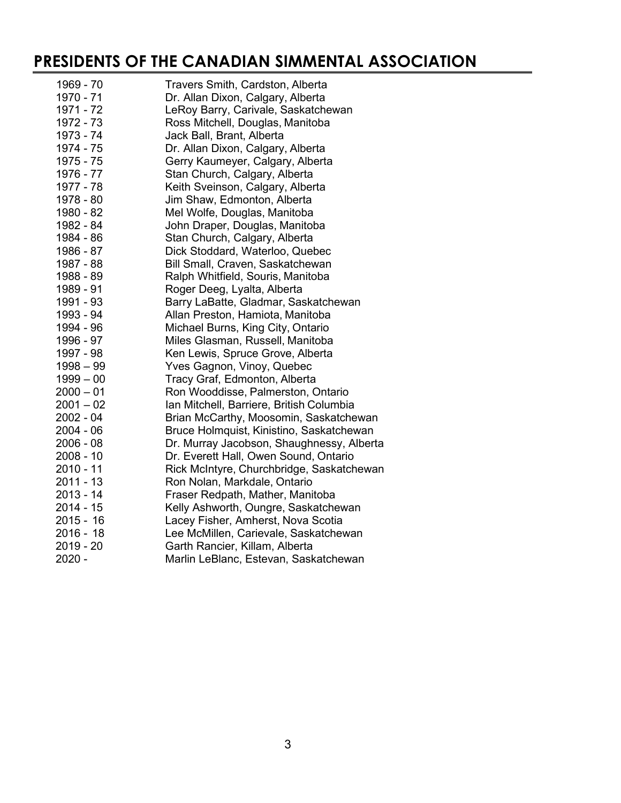# **PRESIDENTS OF THE CANADIAN SIMMENTAL ASSOCIATION**

| 1969 - 70   | Travers Smith, Cardston, Alberta          |
|-------------|-------------------------------------------|
| 1970 - 71   | Dr. Allan Dixon, Calgary, Alberta         |
| 1971 - 72   | LeRoy Barry, Carivale, Saskatchewan       |
| 1972 - 73   | Ross Mitchell, Douglas, Manitoba          |
| 1973 - 74   | Jack Ball, Brant, Alberta                 |
| 1974 - 75   | Dr. Allan Dixon, Calgary, Alberta         |
| 1975 - 75   | Gerry Kaumeyer, Calgary, Alberta          |
| 1976 - 77   | Stan Church, Calgary, Alberta             |
| 1977 - 78   | Keith Sveinson, Calgary, Alberta          |
| 1978 - 80   | Jim Shaw, Edmonton, Alberta               |
| 1980 - 82   | Mel Wolfe, Douglas, Manitoba              |
| 1982 - 84   | John Draper, Douglas, Manitoba            |
| 1984 - 86   | Stan Church, Calgary, Alberta             |
| 1986 - 87   | Dick Stoddard, Waterloo, Quebec           |
| 1987 - 88   | Bill Small, Craven, Saskatchewan          |
| 1988 - 89   | Ralph Whitfield, Souris, Manitoba         |
| 1989 - 91   | Roger Deeg, Lyalta, Alberta               |
| 1991 - 93   | Barry LaBatte, Gladmar, Saskatchewan      |
| 1993 - 94   | Allan Preston, Hamiota, Manitoba          |
| 1994 - 96   | Michael Burns, King City, Ontario         |
| 1996 - 97   | Miles Glasman, Russell, Manitoba          |
| 1997 - 98   | Ken Lewis, Spruce Grove, Alberta          |
| $1998 - 99$ | Yves Gagnon, Vinoy, Quebec                |
| $1999 - 00$ | Tracy Graf, Edmonton, Alberta             |
| $2000 - 01$ | Ron Wooddisse, Palmerston, Ontario        |
| $2001 - 02$ | Ian Mitchell, Barriere, British Columbia  |
| 2002 - 04   | Brian McCarthy, Moosomin, Saskatchewan    |
| $2004 - 06$ | Bruce Holmquist, Kinistino, Saskatchewan  |
| $2006 - 08$ | Dr. Murray Jacobson, Shaughnessy, Alberta |
| $2008 - 10$ | Dr. Everett Hall, Owen Sound, Ontario     |
| $2010 - 11$ | Rick McIntyre, Churchbridge, Saskatchewan |
| $2011 - 13$ | Ron Nolan, Markdale, Ontario              |
| $2013 - 14$ | Fraser Redpath, Mather, Manitoba          |
| $2014 - 15$ | Kelly Ashworth, Oungre, Saskatchewan      |
| $2015 - 16$ | Lacey Fisher, Amherst, Nova Scotia        |
| $2016 - 18$ | Lee McMillen, Carievale, Saskatchewan     |
| $2019 - 20$ | Garth Rancier, Killam, Alberta            |
| $2020 -$    | Marlin LeBlanc, Estevan, Saskatchewan     |
|             |                                           |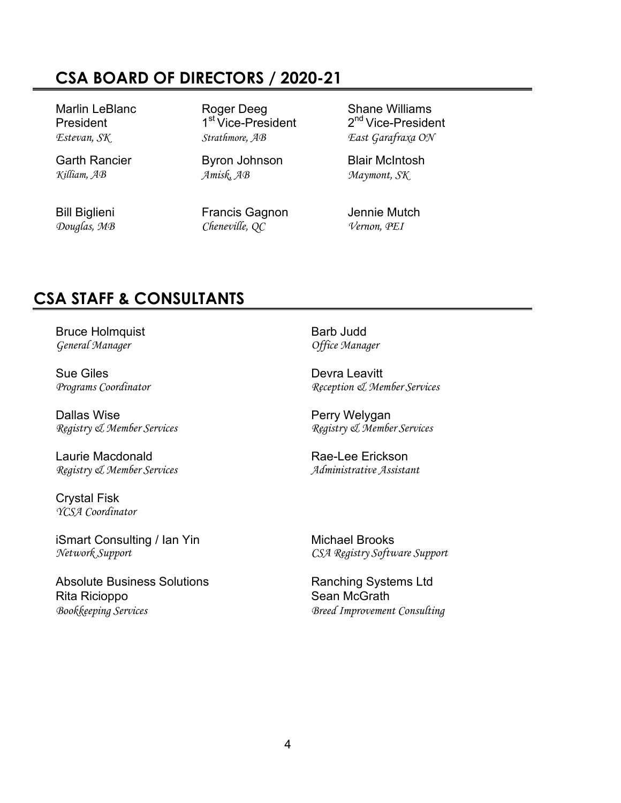# **CSA BOARD OF DIRECTORS / 2020-21**

Garth Rancier **Byron Johnson** Blair McIntosh

Marlin LeBlanc Roger Deeg Shane Williams *Estevan, SK Strathmore, AB East Garafraxa ON*

*Killiam, AB Amisk, AB Maymont, SK*

Bill Biglieni Francis Gagnon Jennie Mutch *Douglas, MB Cheneville, QC Vernon, PEI*

President 1<sup>st</sup> Vice-President 2<sup>nd</sup> Vice-President

# **CSA STAFF & CONSULTANTS**

Bruce Holmquist **Barb Judd** *General Manager Office Manager*

Sue Giles<br> *Programs Coordinator*<br> *Programs Coordinator* 

Dallas Wise **Perry Welygan** 

Laurie Macdonald **Rae-Lee Erickson** *Registry & Member Services Administrative Assistant*

Crystal Fisk *YCSA Coordinator*

iSmart Consulting / Ian Yin<br>
Nichael Brooks<br>
Network Support<br>
CSA Registry Softu

Absolute Business Solutions **Ranching Systems Ltd** Rita Ricioppo **Sean McGrath** *Bookkeeping Services Breed Improvement Consulting*

*Programs Coordinator Reception & Member Services*

*Registry & Member Services Registry & Member Services*

*Network Support CSA Registry Software Support*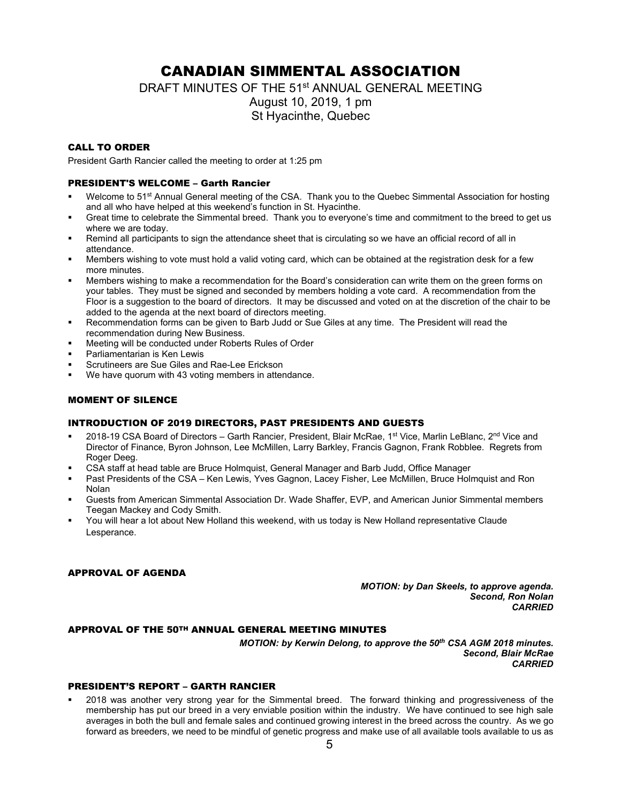### CANADIAN SIMMENTAL ASSOCIATION

DRAFT MINUTES OF THE 51<sup>st</sup> ANNUAL GENERAL MEETING

August 10, 2019, 1 pm St Hyacinthe, Quebec

### CALL TO ORDER

President Garth Rancier called the meeting to order at 1:25 pm

### PRESIDENT'S WELCOME – Garth Rancier

- Welcome to 51<sup>st</sup> Annual General meeting of the CSA. Thank you to the Quebec Simmental Association for hosting and all who have helped at this weekend's function in St. Hyacinthe.
- Great time to celebrate the Simmental breed. Thank you to everyone's time and commitment to the breed to get us where we are today.
- Remind all participants to sign the attendance sheet that is circulating so we have an official record of all in attendance.
- Members wishing to vote must hold a valid voting card, which can be obtained at the registration desk for a few more minutes.
- Members wishing to make a recommendation for the Board's consideration can write them on the green forms on your tables. They must be signed and seconded by members holding a vote card. A recommendation from the Floor is a suggestion to the board of directors. It may be discussed and voted on at the discretion of the chair to be added to the agenda at the next board of directors meeting.
- Recommendation forms can be given to Barb Judd or Sue Giles at any time. The President will read the recommendation during New Business.
- Meeting will be conducted under Roberts Rules of Order
- Parliamentarian is Ken Lewis
- Scrutineers are Sue Giles and Rae-Lee Erickson
- We have quorum with 43 voting members in attendance.

### MOMENT OF SILENCE

#### INTRODUCTION OF 2019 DIRECTORS, PAST PRESIDENTS AND GUESTS

- 2018-19 CSA Board of Directors Garth Rancier, President, Blair McRae, 1<sup>st</sup> Vice, Marlin LeBlanc, 2<sup>nd</sup> Vice and Director of Finance, Byron Johnson, Lee McMillen, Larry Barkley, Francis Gagnon, Frank Robblee. Regrets from Roger Deeg.
- CSA staff at head table are Bruce Holmquist, General Manager and Barb Judd, Office Manager
- Past Presidents of the CSA Ken Lewis, Yves Gagnon, Lacey Fisher, Lee McMillen, Bruce Holmquist and Ron Nolan
- Guests from American Simmental Association Dr. Wade Shaffer, EVP, and American Junior Simmental members Teegan Mackey and Cody Smith.
- You will hear a lot about New Holland this weekend, with us today is New Holland representative Claude Lesperance.

#### APPROVAL OF AGENDA

*MOTION: by Dan Skeels, to approve agenda. Second, Ron Nolan CARRIED*

#### APPROVAL OF THE 50TH ANNUAL GENERAL MEETING MINUTES

*MOTION: by Kerwin Delong, to approve the 50th CSA AGM 2018 minutes. Second, Blair McRae CARRIED*

### PRESIDENT'S REPORT – GARTH RANCIER

 2018 was another very strong year for the Simmental breed. The forward thinking and progressiveness of the membership has put our breed in a very enviable position within the industry. We have continued to see high sale averages in both the bull and female sales and continued growing interest in the breed across the country. As we go forward as breeders, we need to be mindful of genetic progress and make use of all available tools available to us as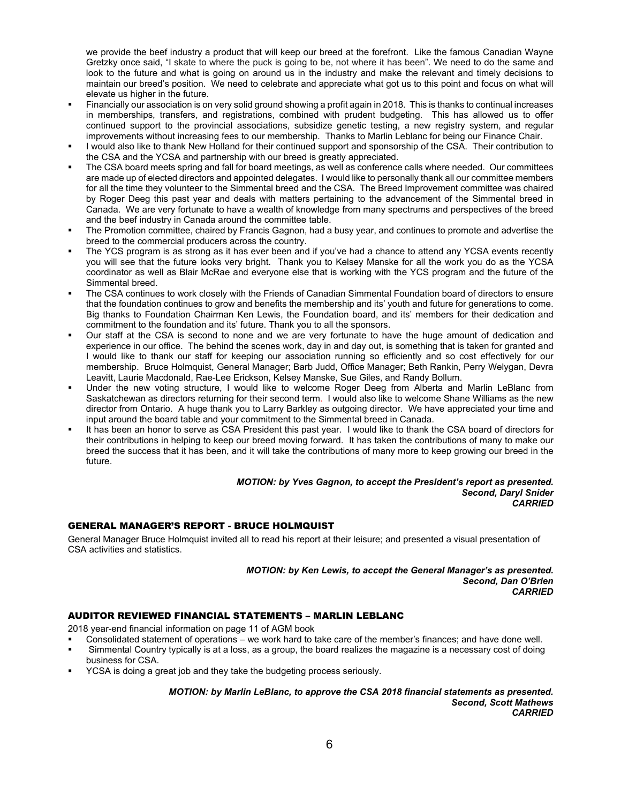we provide the beef industry a product that will keep our breed at the forefront. Like the famous Canadian Wayne Gretzky once said, "I skate to where the puck is going to be, not where it has been". We need to do the same and look to the future and what is going on around us in the industry and make the relevant and timely decisions to maintain our breed's position. We need to celebrate and appreciate what got us to this point and focus on what will elevate us higher in the future.

- Financially our association is on very solid ground showing a profit again in 2018. This is thanks to continual increases in memberships, transfers, and registrations, combined with prudent budgeting. This has allowed us to offer continued support to the provincial associations, subsidize genetic testing, a new registry system, and regular improvements without increasing fees to our membership. Thanks to Marlin Leblanc for being our Finance Chair.
- I would also like to thank New Holland for their continued support and sponsorship of the CSA. Their contribution to the CSA and the YCSA and partnership with our breed is greatly appreciated.
- The CSA board meets spring and fall for board meetings, as well as conference calls where needed. Our committees are made up of elected directors and appointed delegates. I would like to personally thank all our committee members for all the time they volunteer to the Simmental breed and the CSA. The Breed Improvement committee was chaired by Roger Deeg this past year and deals with matters pertaining to the advancement of the Simmental breed in Canada. We are very fortunate to have a wealth of knowledge from many spectrums and perspectives of the breed and the beef industry in Canada around the committee table.
- The Promotion committee, chaired by Francis Gagnon, had a busy year, and continues to promote and advertise the breed to the commercial producers across the country.
- The YCS program is as strong as it has ever been and if you've had a chance to attend any YCSA events recently you will see that the future looks very bright. Thank you to Kelsey Manske for all the work you do as the YCSA coordinator as well as Blair McRae and everyone else that is working with the YCS program and the future of the Simmental breed.
- The CSA continues to work closely with the Friends of Canadian Simmental Foundation board of directors to ensure that the foundation continues to grow and benefits the membership and its' youth and future for generations to come. Big thanks to Foundation Chairman Ken Lewis, the Foundation board, and its' members for their dedication and commitment to the foundation and its' future. Thank you to all the sponsors.
- Our staff at the CSA is second to none and we are very fortunate to have the huge amount of dedication and experience in our office. The behind the scenes work, day in and day out, is something that is taken for granted and I would like to thank our staff for keeping our association running so efficiently and so cost effectively for our membership. Bruce Holmquist, General Manager; Barb Judd, Office Manager; Beth Rankin, Perry Welygan, Devra Leavitt, Laurie Macdonald, Rae-Lee Erickson, Kelsey Manske, Sue Giles, and Randy Bollum.
- Under the new voting structure, I would like to welcome Roger Deeg from Alberta and Marlin LeBlanc from Saskatchewan as directors returning for their second term. I would also like to welcome Shane Williams as the new director from Ontario. A huge thank you to Larry Barkley as outgoing director. We have appreciated your time and input around the board table and your commitment to the Simmental breed in Canada.
- It has been an honor to serve as CSA President this past year. I would like to thank the CSA board of directors for their contributions in helping to keep our breed moving forward. It has taken the contributions of many to make our breed the success that it has been, and it will take the contributions of many more to keep growing our breed in the future.

#### *MOTION: by Yves Gagnon, to accept the President's report as presented. Second, Daryl Snider CARRIED*

### GENERAL MANAGER'S REPORT - BRUCE HOLMQUIST

General Manager Bruce Holmquist invited all to read his report at their leisure; and presented a visual presentation of CSA activities and statistics.

> *MOTION: by Ken Lewis, to accept the General Manager's as presented. Second, Dan O'Brien CARRIED*

### AUDITOR REVIEWED FINANCIAL STATEMENTS – MARLIN LEBLANC

2018 year-end financial information on page 11 of AGM book

- Consolidated statement of operations we work hard to take care of the member's finances; and have done well.
- Simmental Country typically is at a loss, as a group, the board realizes the magazine is a necessary cost of doing business for CSA.
- YCSA is doing a great job and they take the budgeting process seriously.

*MOTION: by Marlin LeBlanc, to approve the CSA 2018 financial statements as presented. Second, Scott Mathews CARRIED*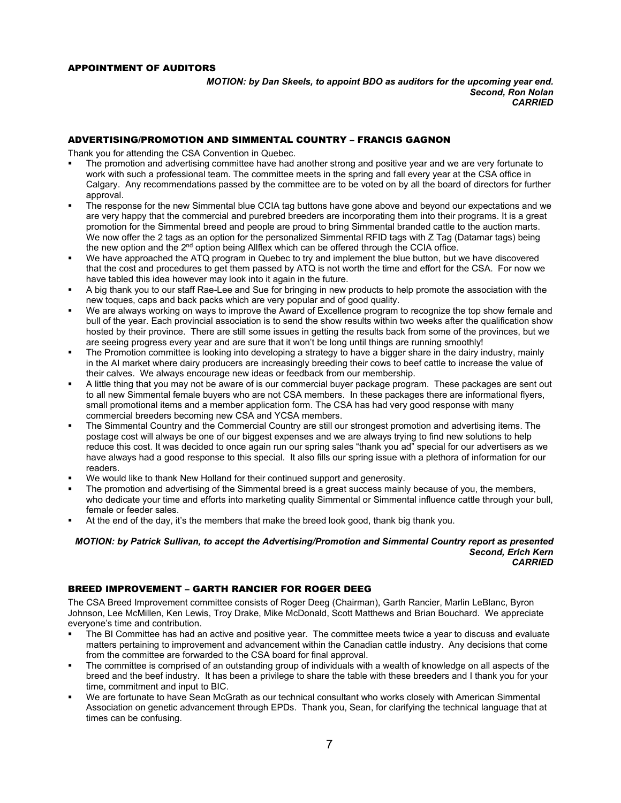#### APPOINTMENT OF AUDITORS

*MOTION: by Dan Skeels, to appoint BDO as auditors for the upcoming year end. Second, Ron Nolan CARRIED*

#### ADVERTISING/PROMOTION AND SIMMENTAL COUNTRY – FRANCIS GAGNON

Thank you for attending the CSA Convention in Quebec.

- The promotion and advertising committee have had another strong and positive year and we are very fortunate to work with such a professional team. The committee meets in the spring and fall every year at the CSA office in Calgary. Any recommendations passed by the committee are to be voted on by all the board of directors for further approval.
- The response for the new Simmental blue CCIA tag buttons have gone above and beyond our expectations and we are very happy that the commercial and purebred breeders are incorporating them into their programs. It is a great promotion for the Simmental breed and people are proud to bring Simmental branded cattle to the auction marts. We now offer the 2 tags as an option for the personalized Simmental RFID tags with Z Tag (Datamar tags) being the new option and the 2<sup>nd</sup> option being Allflex which can be offered through the CCIA office.
- We have approached the ATQ program in Quebec to try and implement the blue button, but we have discovered that the cost and procedures to get them passed by ATQ is not worth the time and effort for the CSA. For now we have tabled this idea however may look into it again in the future.
- A big thank you to our staff Rae-Lee and Sue for bringing in new products to help promote the association with the new toques, caps and back packs which are very popular and of good quality.
- We are always working on ways to improve the Award of Excellence program to recognize the top show female and bull of the year. Each provincial association is to send the show results within two weeks after the qualification show hosted by their province. There are still some issues in getting the results back from some of the provinces, but we are seeing progress every year and are sure that it won't be long until things are running smoothly!
- The Promotion committee is looking into developing a strategy to have a bigger share in the dairy industry, mainly in the AI market where dairy producers are increasingly breeding their cows to beef cattle to increase the value of their calves. We always encourage new ideas or feedback from our membership.
- A little thing that you may not be aware of is our commercial buyer package program. These packages are sent out to all new Simmental female buyers who are not CSA members. In these packages there are informational flyers, small promotional items and a member application form. The CSA has had very good response with many commercial breeders becoming new CSA and YCSA members.
- The Simmental Country and the Commercial Country are still our strongest promotion and advertising items. The postage cost will always be one of our biggest expenses and we are always trying to find new solutions to help reduce this cost. It was decided to once again run our spring sales "thank you ad" special for our advertisers as we have always had a good response to this special. It also fills our spring issue with a plethora of information for our readers.
- We would like to thank New Holland for their continued support and generosity.
- The promotion and advertising of the Simmental breed is a great success mainly because of you, the members, who dedicate your time and efforts into marketing quality Simmental or Simmental influence cattle through your bull, female or feeder sales.
- At the end of the day, it's the members that make the breed look good, thank big thank you.

*MOTION: by Patrick Sullivan, to accept the Advertising/Promotion and Simmental Country report as presented Second, Erich Kern CARRIED*

#### BREED IMPROVEMENT – GARTH RANCIER FOR ROGER DEEG

The CSA Breed Improvement committee consists of Roger Deeg (Chairman), Garth Rancier, Marlin LeBlanc, Byron Johnson, Lee McMillen, Ken Lewis, Troy Drake, Mike McDonald, Scott Matthews and Brian Bouchard. We appreciate everyone's time and contribution.

- The BI Committee has had an active and positive year. The committee meets twice a year to discuss and evaluate matters pertaining to improvement and advancement within the Canadian cattle industry. Any decisions that come from the committee are forwarded to the CSA board for final approval.
- The committee is comprised of an outstanding group of individuals with a wealth of knowledge on all aspects of the breed and the beef industry. It has been a privilege to share the table with these breeders and I thank you for your time, commitment and input to BIC.
- We are fortunate to have Sean McGrath as our technical consultant who works closely with American Simmental Association on genetic advancement through EPDs. Thank you, Sean, for clarifying the technical language that at times can be confusing.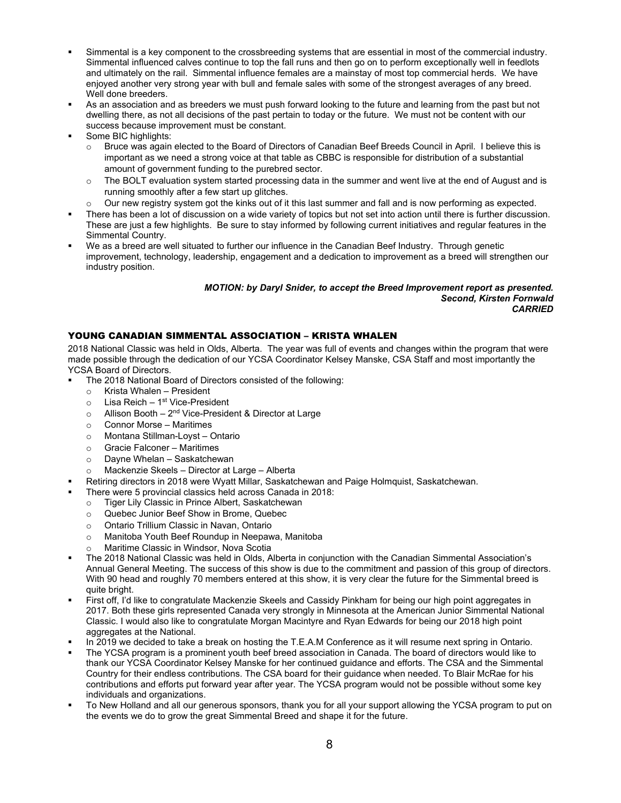- Simmental is a key component to the crossbreeding systems that are essential in most of the commercial industry. Simmental influenced calves continue to top the fall runs and then go on to perform exceptionally well in feedlots and ultimately on the rail. Simmental influence females are a mainstay of most top commercial herds. We have enjoyed another very strong year with bull and female sales with some of the strongest averages of any breed. Well done breeders.
- As an association and as breeders we must push forward looking to the future and learning from the past but not dwelling there, as not all decisions of the past pertain to today or the future. We must not be content with our success because improvement must be constant.
- Some BIC highlights:
	- Bruce was again elected to the Board of Directors of Canadian Beef Breeds Council in April. I believe this is important as we need a strong voice at that table as CBBC is responsible for distribution of a substantial amount of government funding to the purebred sector.
	- o The BOLT evaluation system started processing data in the summer and went live at the end of August and is running smoothly after a few start up glitches.
	- $\circ$  Our new registry system got the kinks out of it this last summer and fall and is now performing as expected.
- There has been a lot of discussion on a wide variety of topics but not set into action until there is further discussion. These are just a few highlights. Be sure to stay informed by following current initiatives and regular features in the Simmental Country.
- We as a breed are well situated to further our influence in the Canadian Beef Industry. Through genetic improvement, technology, leadership, engagement and a dedication to improvement as a breed will strengthen our industry position.

#### *MOTION: by Daryl Snider, to accept the Breed Improvement report as presented. Second, Kirsten Fornwald CARRIED*

### YOUNG CANADIAN SIMMENTAL ASSOCIATION – KRISTA WHALEN

2018 National Classic was held in Olds, Alberta. The year was full of events and changes within the program that were made possible through the dedication of our YCSA Coordinator Kelsey Manske, CSA Staff and most importantly the YCSA Board of Directors.

- The 2018 National Board of Directors consisted of the following:
	- o Krista Whalen President<br>○ Lisa Reich 1<sup>st</sup> Vice-Presi
	- Lisa Reich 1st Vice-President
	- $\circ$  Allison Booth 2<sup>nd</sup> Vice-President & Director at Large
	- o Connor Morse Maritimes
	- o Montana Stillman-Loyst Ontario
	- o Gracie Falconer Maritimes
	- o Dayne Whelan Saskatchewan
	- Mackenzie Skeels Director at Large Alberta
- Retiring directors in 2018 were Wyatt Millar, Saskatchewan and Paige Holmquist, Saskatchewan.
- There were 5 provincial classics held across Canada in 2018:
	- o Tiger Lily Classic in Prince Albert, Saskatchewan
	- o Quebec Junior Beef Show in Brome, Quebec
	- o Ontario Trillium Classic in Navan, Ontario
	- o Manitoba Youth Beef Roundup in Neepawa, Manitoba
	- Maritime Classic in Windsor, Nova Scotia
- The 2018 National Classic was held in Olds, Alberta in conjunction with the Canadian Simmental Association's Annual General Meeting. The success of this show is due to the commitment and passion of this group of directors. With 90 head and roughly 70 members entered at this show, it is very clear the future for the Simmental breed is quite bright.
- First off, I'd like to congratulate Mackenzie Skeels and Cassidy Pinkham for being our high point aggregates in 2017. Both these girls represented Canada very strongly in Minnesota at the American Junior Simmental National Classic. I would also like to congratulate Morgan Macintyre and Ryan Edwards for being our 2018 high point aggregates at the National.
- In 2019 we decided to take a break on hosting the T.E.A.M Conference as it will resume next spring in Ontario.
- The YCSA program is a prominent youth beef breed association in Canada. The board of directors would like to thank our YCSA Coordinator Kelsey Manske for her continued guidance and efforts. The CSA and the Simmental Country for their endless contributions. The CSA board for their guidance when needed. To Blair McRae for his contributions and efforts put forward year after year. The YCSA program would not be possible without some key individuals and organizations.
- To New Holland and all our generous sponsors, thank you for all your support allowing the YCSA program to put on the events we do to grow the great Simmental Breed and shape it for the future.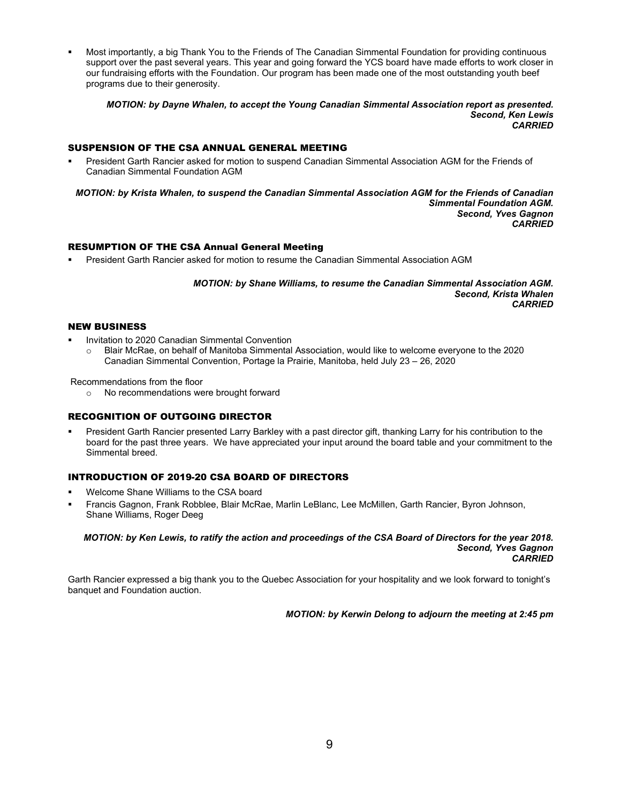Most importantly, a big Thank You to the Friends of The Canadian Simmental Foundation for providing continuous support over the past several years. This year and going forward the YCS board have made efforts to work closer in our fundraising efforts with the Foundation. Our program has been made one of the most outstanding youth beef programs due to their generosity.

*MOTION: by Dayne Whalen, to accept the Young Canadian Simmental Association report as presented. Second, Ken Lewis CARRIED*

### SUSPENSION OF THE CSA ANNUAL GENERAL MEETING

 President Garth Rancier asked for motion to suspend Canadian Simmental Association AGM for the Friends of Canadian Simmental Foundation AGM

*MOTION: by Krista Whalen, to suspend the Canadian Simmental Association AGM for the Friends of Canadian Simmental Foundation AGM. Second, Yves Gagnon CARRIED*

#### RESUMPTION OF THE CSA Annual General Meeting

President Garth Rancier asked for motion to resume the Canadian Simmental Association AGM

*MOTION: by Shane Williams, to resume the Canadian Simmental Association AGM. Second, Krista Whalen CARRIED*

#### NEW BUSINESS

- Invitation to 2020 Canadian Simmental Convention
	- o Blair McRae, on behalf of Manitoba Simmental Association, would like to welcome everyone to the 2020 Canadian Simmental Convention, Portage la Prairie, Manitoba, held July 23 – 26, 2020

Recommendations from the floor

o No recommendations were brought forward

#### RECOGNITION OF OUTGOING DIRECTOR

 President Garth Rancier presented Larry Barkley with a past director gift, thanking Larry for his contribution to the board for the past three years. We have appreciated your input around the board table and your commitment to the Simmental breed.

### INTRODUCTION OF 2019-20 CSA BOARD OF DIRECTORS

- Welcome Shane Williams to the CSA board
- Francis Gagnon, Frank Robblee, Blair McRae, Marlin LeBlanc, Lee McMillen, Garth Rancier, Byron Johnson, Shane Williams, Roger Deeg

#### *MOTION: by Ken Lewis, to ratify the action and proceedings of the CSA Board of Directors for the year 2018. Second, Yves Gagnon CARRIED*

Garth Rancier expressed a big thank you to the Quebec Association for your hospitality and we look forward to tonight's banquet and Foundation auction.

*MOTION: by Kerwin Delong to adjourn the meeting at 2:45 pm*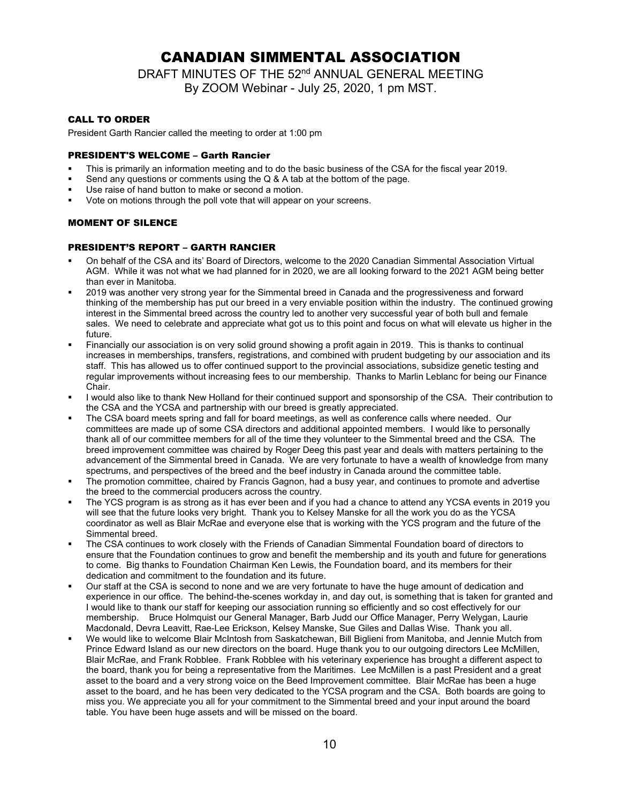### CANADIAN SIMMENTAL ASSOCIATION

DRAFT MINUTES OF THE 52<sup>nd</sup> ANNUAL GENERAL MEETING By ZOOM Webinar - July 25, 2020, 1 pm MST.

### CALL TO ORDER

President Garth Rancier called the meeting to order at 1:00 pm

#### PRESIDENT'S WELCOME – Garth Rancier

- This is primarily an information meeting and to do the basic business of the CSA for the fiscal year 2019.
- Send any questions or comments using the Q & A tab at the bottom of the page.
- Use raise of hand button to make or second a motion.
- Vote on motions through the poll vote that will appear on your screens.

### MOMENT OF SILENCE

### PRESIDENT'S REPORT – GARTH RANCIER

- On behalf of the CSA and its' Board of Directors, welcome to the 2020 Canadian Simmental Association Virtual AGM. While it was not what we had planned for in 2020, we are all looking forward to the 2021 AGM being better than ever in Manitoba.
- 2019 was another very strong year for the Simmental breed in Canada and the progressiveness and forward thinking of the membership has put our breed in a very enviable position within the industry. The continued growing interest in the Simmental breed across the country led to another very successful year of both bull and female sales. We need to celebrate and appreciate what got us to this point and focus on what will elevate us higher in the future.
- Financially our association is on very solid ground showing a profit again in 2019. This is thanks to continual increases in memberships, transfers, registrations, and combined with prudent budgeting by our association and its staff. This has allowed us to offer continued support to the provincial associations, subsidize genetic testing and regular improvements without increasing fees to our membership. Thanks to Marlin Leblanc for being our Finance Chair.
- I would also like to thank New Holland for their continued support and sponsorship of the CSA. Their contribution to the CSA and the YCSA and partnership with our breed is greatly appreciated.
- The CSA board meets spring and fall for board meetings, as well as conference calls where needed. Our committees are made up of some CSA directors and additional appointed members. I would like to personally thank all of our committee members for all of the time they volunteer to the Simmental breed and the CSA. The breed improvement committee was chaired by Roger Deeg this past year and deals with matters pertaining to the advancement of the Simmental breed in Canada. We are very fortunate to have a wealth of knowledge from many spectrums, and perspectives of the breed and the beef industry in Canada around the committee table.
- The promotion committee, chaired by Francis Gagnon, had a busy year, and continues to promote and advertise the breed to the commercial producers across the country.
- The YCS program is as strong as it has ever been and if you had a chance to attend any YCSA events in 2019 you will see that the future looks very bright. Thank you to Kelsey Manske for all the work you do as the YCSA coordinator as well as Blair McRae and everyone else that is working with the YCS program and the future of the Simmental breed.
- The CSA continues to work closely with the Friends of Canadian Simmental Foundation board of directors to ensure that the Foundation continues to grow and benefit the membership and its youth and future for generations to come. Big thanks to Foundation Chairman Ken Lewis, the Foundation board, and its members for their dedication and commitment to the foundation and its future.
- Our staff at the CSA is second to none and we are very fortunate to have the huge amount of dedication and experience in our office. The behind-the-scenes workday in, and day out, is something that is taken for granted and I would like to thank our staff for keeping our association running so efficiently and so cost effectively for our membership. Bruce Holmquist our General Manager, Barb Judd our Office Manager, Perry Welygan, Laurie Macdonald, Devra Leavitt, Rae-Lee Erickson, Kelsey Manske, Sue Giles and Dallas Wise. Thank you all.
- We would like to welcome Blair McIntosh from Saskatchewan, Bill Biglieni from Manitoba, and Jennie Mutch from Prince Edward Island as our new directors on the board. Huge thank you to our outgoing directors Lee McMillen, Blair McRae, and Frank Robblee. Frank Robblee with his veterinary experience has brought a different aspect to the board, thank you for being a representative from the Maritimes. Lee McMillen is a past President and a great asset to the board and a very strong voice on the Beed Improvement committee. Blair McRae has been a huge asset to the board, and he has been very dedicated to the YCSA program and the CSA. Both boards are going to miss you. We appreciate you all for your commitment to the Simmental breed and your input around the board table. You have been huge assets and will be missed on the board.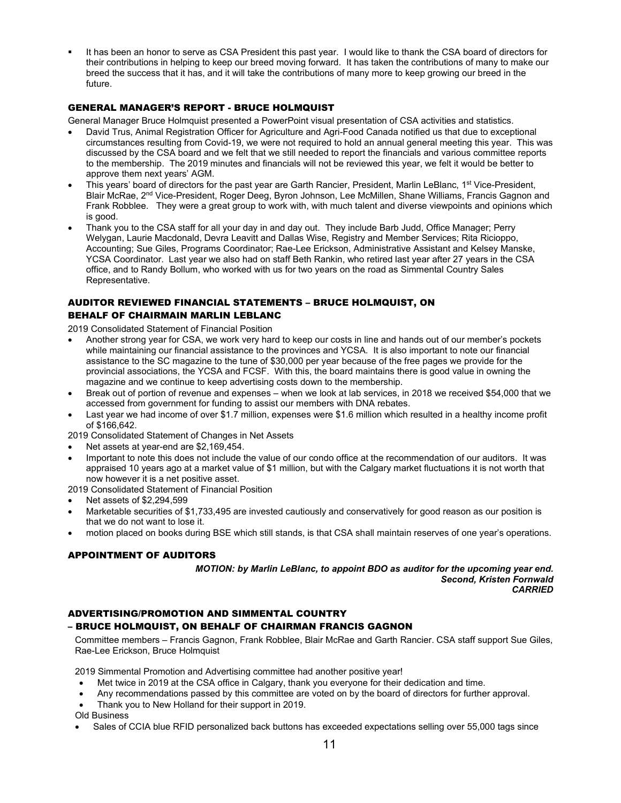It has been an honor to serve as CSA President this past year. I would like to thank the CSA board of directors for their contributions in helping to keep our breed moving forward. It has taken the contributions of many to make our breed the success that it has, and it will take the contributions of many more to keep growing our breed in the future.

### GENERAL MANAGER'S REPORT - BRUCE HOLMQUIST

General Manager Bruce Holmquist presented a PowerPoint visual presentation of CSA activities and statistics.

- David Trus, Animal Registration Officer for Agriculture and Agri-Food Canada notified us that due to exceptional circumstances resulting from Covid-19, we were not required to hold an annual general meeting this year. This was discussed by the CSA board and we felt that we still needed to report the financials and various committee reports to the membership. The 2019 minutes and financials will not be reviewed this year, we felt it would be better to approve them next years' AGM.
- This years' board of directors for the past year are Garth Rancier, President, Marlin LeBlanc, 1<sup>st</sup> Vice-President, Blair McRae, 2<sup>nd</sup> Vice-President, Roger Deeg, Byron Johnson, Lee McMillen, Shane Williams, Francis Gagnon and Frank Robblee. They were a great group to work with, with much talent and diverse viewpoints and opinions which is good.
- Thank you to the CSA staff for all your day in and day out. They include Barb Judd, Office Manager; Perry Welygan, Laurie Macdonald, Devra Leavitt and Dallas Wise, Registry and Member Services; Rita Ricioppo, Accounting; Sue Giles, Programs Coordinator; Rae-Lee Erickson, Administrative Assistant and Kelsey Manske, YCSA Coordinator. Last year we also had on staff Beth Rankin, who retired last year after 27 years in the CSA office, and to Randy Bollum, who worked with us for two years on the road as Simmental Country Sales Representative.

### AUDITOR REVIEWED FINANCIAL STATEMENTS – BRUCE HOLMQUIST, ON BEHALF OF CHAIRMAIN MARLIN LEBLANC

2019 Consolidated Statement of Financial Position

- Another strong year for CSA, we work very hard to keep our costs in line and hands out of our member's pockets while maintaining our financial assistance to the provinces and YCSA. It is also important to note our financial assistance to the SC magazine to the tune of \$30,000 per year because of the free pages we provide for the provincial associations, the YCSA and FCSF. With this, the board maintains there is good value in owning the magazine and we continue to keep advertising costs down to the membership.
- Break out of portion of revenue and expenses when we look at lab services, in 2018 we received \$54,000 that we accessed from government for funding to assist our members with DNA rebates.
- Last year we had income of over \$1.7 million, expenses were \$1.6 million which resulted in a healthy income profit of \$166,642.

2019 Consolidated Statement of Changes in Net Assets

- Net assets at year-end are \$2,169,454.
- Important to note this does not include the value of our condo office at the recommendation of our auditors. It was appraised 10 years ago at a market value of \$1 million, but with the Calgary market fluctuations it is not worth that now however it is a net positive asset.

2019 Consolidated Statement of Financial Position

- Net assets of \$2,294,599
- Marketable securities of \$1,733,495 are invested cautiously and conservatively for good reason as our position is that we do not want to lose it.
- motion placed on books during BSE which still stands, is that CSA shall maintain reserves of one year's operations.

### APPOINTMENT OF AUDITORS

*MOTION: by Marlin LeBlanc, to appoint BDO as auditor for the upcoming year end. Second, Kristen Fornwald CARRIED*

### ADVERTISING/PROMOTION AND SIMMENTAL COUNTRY

#### – BRUCE HOLMQUIST, ON BEHALF OF CHAIRMAN FRANCIS GAGNON

Committee members – Francis Gagnon, Frank Robblee, Blair McRae and Garth Rancier. CSA staff support Sue Giles, Rae-Lee Erickson, Bruce Holmquist

2019 Simmental Promotion and Advertising committee had another positive year!

- Met twice in 2019 at the CSA office in Calgary, thank you everyone for their dedication and time.
- Any recommendations passed by this committee are voted on by the board of directors for further approval.
- Thank you to New Holland for their support in 2019.

Old Business

• Sales of CCIA blue RFID personalized back buttons has exceeded expectations selling over 55,000 tags since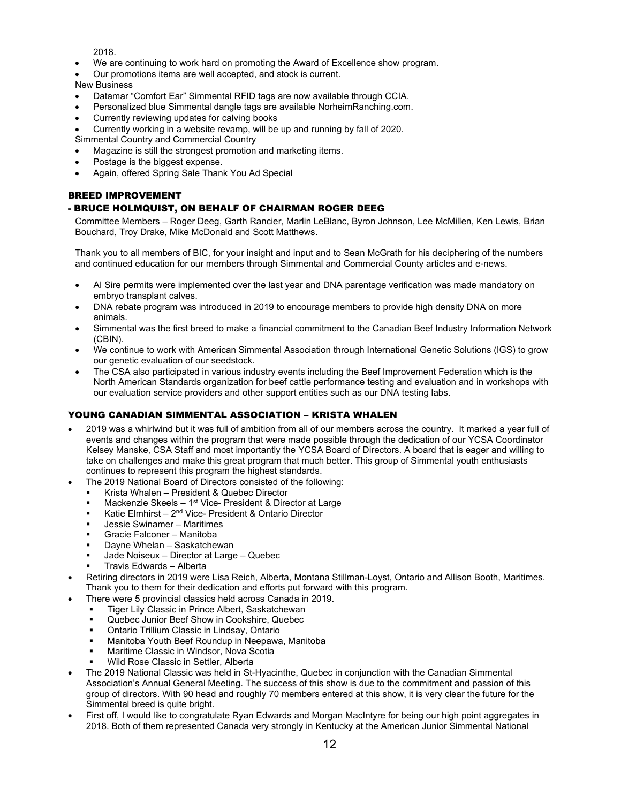2018.

- We are continuing to work hard on promoting the Award of Excellence show program.
- Our promotions items are well accepted, and stock is current.

### New Business

- Datamar "Comfort Ear" Simmental RFID tags are now available through CCIA.
- Personalized blue Simmental dangle tags are available NorheimRanching.com.
- Currently reviewing updates for calving books
- Currently working in a website revamp, will be up and running by fall of 2020.

Simmental Country and Commercial Country

- Magazine is still the strongest promotion and marketing items.
- Postage is the biggest expense.
- Again, offered Spring Sale Thank You Ad Special

### BREED IMPROVEMENT

### - BRUCE HOLMQUIST, ON BEHALF OF CHAIRMAN ROGER DEEG

Committee Members – Roger Deeg, Garth Rancier, Marlin LeBlanc, Byron Johnson, Lee McMillen, Ken Lewis, Brian Bouchard, Troy Drake, Mike McDonald and Scott Matthews.

Thank you to all members of BIC, for your insight and input and to Sean McGrath for his deciphering of the numbers and continued education for our members through Simmental and Commercial County articles and e-news.

- AI Sire permits were implemented over the last year and DNA parentage verification was made mandatory on embryo transplant calves.
- DNA rebate program was introduced in 2019 to encourage members to provide high density DNA on more animals.
- Simmental was the first breed to make a financial commitment to the Canadian Beef Industry Information Network (CBIN).
- We continue to work with American Simmental Association through International Genetic Solutions (IGS) to grow our genetic evaluation of our seedstock.
- The CSA also participated in various industry events including the Beef Improvement Federation which is the North American Standards organization for beef cattle performance testing and evaluation and in workshops with our evaluation service providers and other support entities such as our DNA testing labs.

### YOUNG CANADIAN SIMMENTAL ASSOCIATION – KRISTA WHALEN

- 2019 was a whirlwind but it was full of ambition from all of our members across the country. It marked a year full of events and changes within the program that were made possible through the dedication of our YCSA Coordinator Kelsey Manske, CSA Staff and most importantly the YCSA Board of Directors. A board that is eager and willing to take on challenges and make this great program that much better. This group of Simmental youth enthusiasts continues to represent this program the highest standards.
- The 2019 National Board of Directors consisted of the following:
	- Krista Whalen President & Quebec Director
	- Mackenzie Skeels 1<sup>st</sup> Vice- President & Director at Large
	- Katie Elmhirst 2<sup>nd</sup> Vice- President & Ontario Director
	- Jessie Swinamer Maritimes
	- Gracie Falconer Manitoba
	- Dayne Whelan Saskatchewan
	- Jade Noiseux Director at Large Quebec
	- Travis Edwards Alberta
- Retiring directors in 2019 were Lisa Reich, Alberta, Montana Stillman-Loyst, Ontario and Allison Booth, Maritimes. Thank you to them for their dedication and efforts put forward with this program.
	- There were 5 provincial classics held across Canada in 2019.
		- Tiger Lily Classic in Prince Albert, Saskatchewan
		- Quebec Junior Beef Show in Cookshire, Quebec
		- Ontario Trillium Classic in Lindsay, Ontario
		- Manitoba Youth Beef Roundup in Neepawa, Manitoba
		- Maritime Classic in Windsor, Nova Scotia
		- Wild Rose Classic in Settler, Alberta
- The 2019 National Classic was held in St-Hyacinthe, Quebec in conjunction with the Canadian Simmental Association's Annual General Meeting. The success of this show is due to the commitment and passion of this group of directors. With 90 head and roughly 70 members entered at this show, it is very clear the future for the Simmental breed is quite bright.
- First off, I would like to congratulate Ryan Edwards and Morgan MacIntyre for being our high point aggregates in 2018. Both of them represented Canada very strongly in Kentucky at the American Junior Simmental National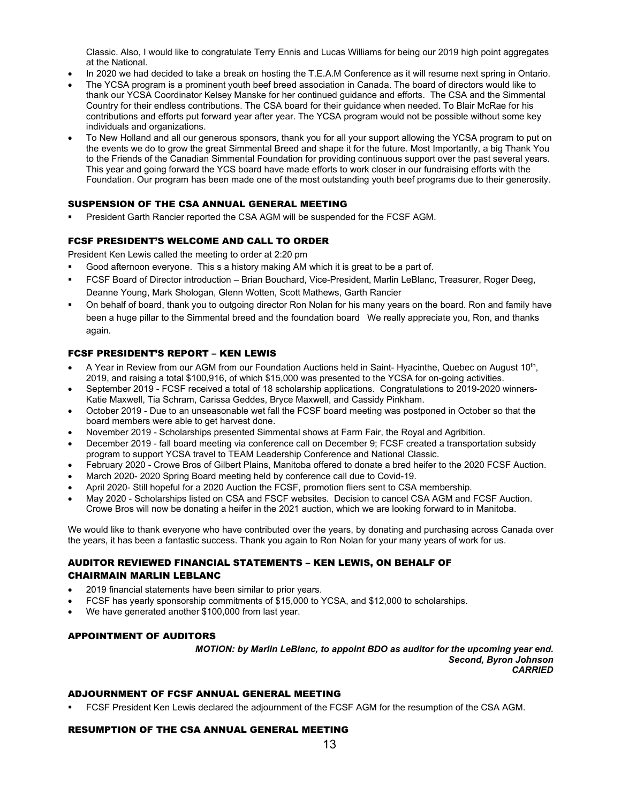Classic. Also, I would like to congratulate Terry Ennis and Lucas Williams for being our 2019 high point aggregates at the National.

- In 2020 we had decided to take a break on hosting the T.E.A.M Conference as it will resume next spring in Ontario.
- The YCSA program is a prominent youth beef breed association in Canada. The board of directors would like to thank our YCSA Coordinator Kelsey Manske for her continued guidance and efforts. The CSA and the Simmental Country for their endless contributions. The CSA board for their guidance when needed. To Blair McRae for his contributions and efforts put forward year after year. The YCSA program would not be possible without some key individuals and organizations.
- To New Holland and all our generous sponsors, thank you for all your support allowing the YCSA program to put on the events we do to grow the great Simmental Breed and shape it for the future. Most Importantly, a big Thank You to the Friends of the Canadian Simmental Foundation for providing continuous support over the past several years. This year and going forward the YCS board have made efforts to work closer in our fundraising efforts with the Foundation. Our program has been made one of the most outstanding youth beef programs due to their generosity.

### SUSPENSION OF THE CSA ANNUAL GENERAL MEETING

President Garth Rancier reported the CSA AGM will be suspended for the FCSF AGM.

### FCSF PRESIDENT'S WELCOME AND CALL TO ORDER

President Ken Lewis called the meeting to order at 2:20 pm

- Good afternoon everyone. This s a history making AM which it is great to be a part of.
- FCSF Board of Director introduction Brian Bouchard, Vice-President, Marlin LeBlanc, Treasurer, Roger Deeg, Deanne Young, Mark Shologan, Glenn Wotten, Scott Mathews, Garth Rancier
- On behalf of board, thank you to outgoing director Ron Nolan for his many years on the board. Ron and family have been a huge pillar to the Simmental breed and the foundation board We really appreciate you, Ron, and thanks again.

### FCSF PRESIDENT'S REPORT – KEN LEWIS

- A Year in Review from our AGM from our Foundation Auctions held in Saint- Hyacinthe, Quebec on August 10<sup>th</sup>, 2019, and raising a total \$100,916, of which \$15,000 was presented to the YCSA for on-going activities.
- September 2019 FCSF received a total of 18 scholarship applications. Congratulations to 2019-2020 winners-Katie Maxwell, Tia Schram, Carissa Geddes, Bryce Maxwell, and Cassidy Pinkham.
- October 2019 Due to an unseasonable wet fall the FCSF board meeting was postponed in October so that the board members were able to get harvest done.
- November 2019 Scholarships presented Simmental shows at Farm Fair, the Royal and Agribition.
- December 2019 fall board meeting via conference call on December 9; FCSF created a transportation subsidy program to support YCSA travel to TEAM Leadership Conference and National Classic.
- February 2020 Crowe Bros of Gilbert Plains, Manitoba offered to donate a bred heifer to the 2020 FCSF Auction.
- March 2020- 2020 Spring Board meeting held by conference call due to Covid-19.
- April 2020- Still hopeful for a 2020 Auction the FCSF, promotion fliers sent to CSA membership.
- May 2020 Scholarships listed on CSA and FSCF websites. Decision to cancel CSA AGM and FCSF Auction. Crowe Bros will now be donating a heifer in the 2021 auction, which we are looking forward to in Manitoba.

We would like to thank everyone who have contributed over the years, by donating and purchasing across Canada over the years, it has been a fantastic success. Thank you again to Ron Nolan for your many years of work for us.

### AUDITOR REVIEWED FINANCIAL STATEMENTS – KEN LEWIS, ON BEHALF OF CHAIRMAIN MARLIN LEBLANC

- 2019 financial statements have been similar to prior years.
- FCSF has yearly sponsorship commitments of \$15,000 to YCSA, and \$12,000 to scholarships.
- We have generated another \$100,000 from last year.

### APPOINTMENT OF AUDITORS

*MOTION: by Marlin LeBlanc, to appoint BDO as auditor for the upcoming year end. Second, Byron Johnson CARRIED*

### ADJOURNMENT OF FCSF ANNUAL GENERAL MEETING

FCSF President Ken Lewis declared the adjournment of the FCSF AGM for the resumption of the CSA AGM.

### RESUMPTION OF THE CSA ANNUAL GENERAL MEETING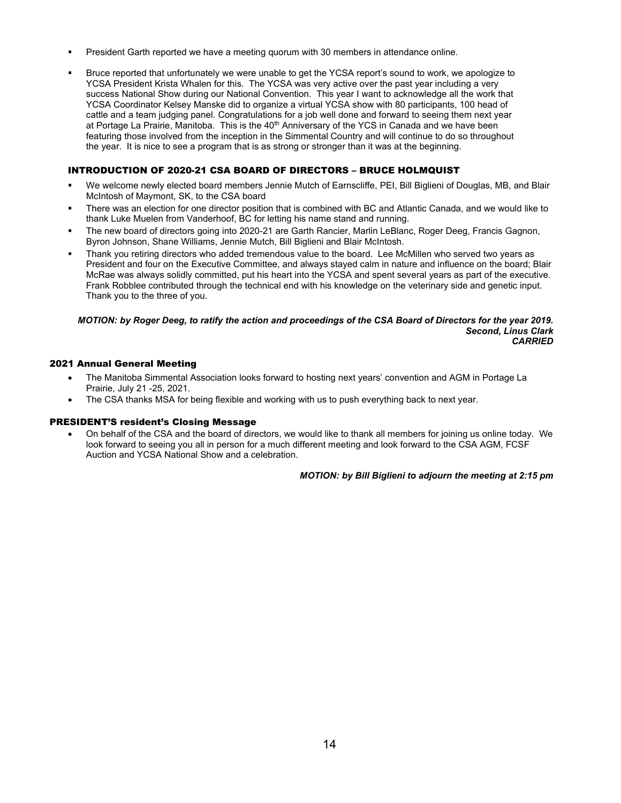- President Garth reported we have a meeting quorum with 30 members in attendance online.
- Bruce reported that unfortunately we were unable to get the YCSA report's sound to work, we apologize to YCSA President Krista Whalen for this. The YCSA was very active over the past year including a very success National Show during our National Convention. This year I want to acknowledge all the work that YCSA Coordinator Kelsey Manske did to organize a virtual YCSA show with 80 participants, 100 head of cattle and a team judging panel. Congratulations for a job well done and forward to seeing them next year at Portage La Prairie, Manitoba. This is the 40<sup>th</sup> Anniversary of the YCS in Canada and we have been featuring those involved from the inception in the Simmental Country and will continue to do so throughout the year. It is nice to see a program that is as strong or stronger than it was at the beginning.

### INTRODUCTION OF 2020-21 CSA BOARD OF DIRECTORS – BRUCE HOLMQUIST

- We welcome newly elected board members Jennie Mutch of Earnscliffe, PEI, Bill Biglieni of Douglas, MB, and Blair McIntosh of Maymont, SK, to the CSA board
- There was an election for one director position that is combined with BC and Atlantic Canada, and we would like to thank Luke Muelen from Vanderhoof, BC for letting his name stand and running.
- The new board of directors going into 2020-21 are Garth Rancier, Marlin LeBlanc, Roger Deeg, Francis Gagnon, Byron Johnson, Shane Williams, Jennie Mutch, Bill Biglieni and Blair McIntosh.
- Thank you retiring directors who added tremendous value to the board. Lee McMillen who served two years as President and four on the Executive Committee, and always stayed calm in nature and influence on the board; Blair McRae was always solidly committed, put his heart into the YCSA and spent several years as part of the executive. Frank Robblee contributed through the technical end with his knowledge on the veterinary side and genetic input. Thank you to the three of you.

#### *MOTION: by Roger Deeg, to ratify the action and proceedings of the CSA Board of Directors for the year 2019. Second, Linus Clark CARRIED*

### 2021 Annual General Meeting

- The Manitoba Simmental Association looks forward to hosting next years' convention and AGM in Portage La Prairie, July 21 -25, 2021.
- The CSA thanks MSA for being flexible and working with us to push everything back to next year.

#### PRESIDENT'S resident's Closing Message

• On behalf of the CSA and the board of directors, we would like to thank all members for joining us online today. We look forward to seeing you all in person for a much different meeting and look forward to the CSA AGM, FCSF Auction and YCSA National Show and a celebration.

*MOTION: by Bill Biglieni to adjourn the meeting at 2:15 pm*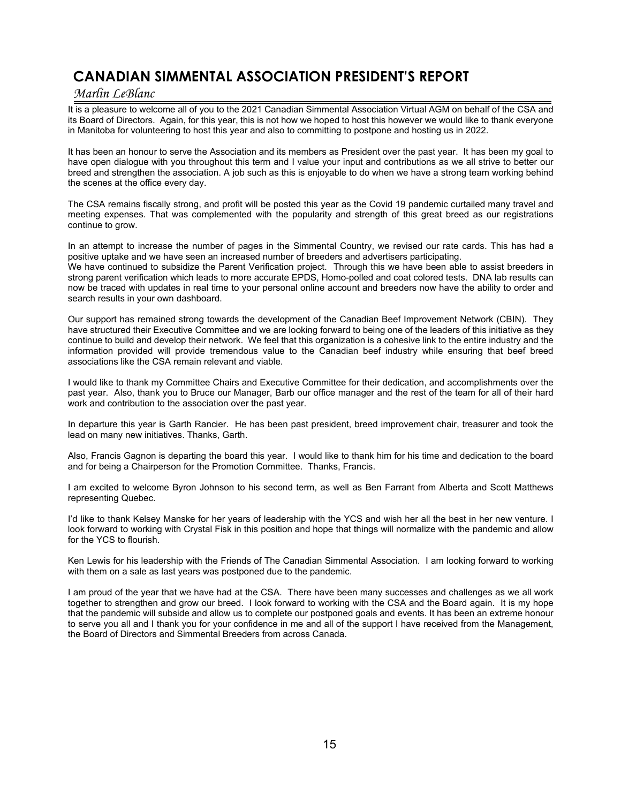## **CANADIAN SIMMENTAL ASSOCIATION PRESIDENT'S REPORT**

### *Marlin LeBlanc*

It is a pleasure to welcome all of you to the 2021 Canadian Simmental Association Virtual AGM on behalf of the CSA and its Board of Directors. Again, for this year, this is not how we hoped to host this however we would like to thank everyone in Manitoba for volunteering to host this year and also to committing to postpone and hosting us in 2022.

It has been an honour to serve the Association and its members as President over the past year. It has been my goal to have open dialogue with you throughout this term and I value your input and contributions as we all strive to better our breed and strengthen the association. A job such as this is enjoyable to do when we have a strong team working behind the scenes at the office every day.

The CSA remains fiscally strong, and profit will be posted this year as the Covid 19 pandemic curtailed many travel and meeting expenses. That was complemented with the popularity and strength of this great breed as our registrations continue to grow.

In an attempt to increase the number of pages in the Simmental Country, we revised our rate cards. This has had a positive uptake and we have seen an increased number of breeders and advertisers participating.

We have continued to subsidize the Parent Verification project. Through this we have been able to assist breeders in strong parent verification which leads to more accurate EPDS, Homo-polled and coat colored tests. DNA lab results can now be traced with updates in real time to your personal online account and breeders now have the ability to order and search results in your own dashboard.

Our support has remained strong towards the development of the Canadian Beef Improvement Network (CBIN). They have structured their Executive Committee and we are looking forward to being one of the leaders of this initiative as they continue to build and develop their network. We feel that this organization is a cohesive link to the entire industry and the information provided will provide tremendous value to the Canadian beef industry while ensuring that beef breed associations like the CSA remain relevant and viable.

I would like to thank my Committee Chairs and Executive Committee for their dedication, and accomplishments over the past year. Also, thank you to Bruce our Manager, Barb our office manager and the rest of the team for all of their hard work and contribution to the association over the past year.

In departure this year is Garth Rancier. He has been past president, breed improvement chair, treasurer and took the lead on many new initiatives. Thanks, Garth.

Also, Francis Gagnon is departing the board this year. I would like to thank him for his time and dedication to the board and for being a Chairperson for the Promotion Committee. Thanks, Francis.

I am excited to welcome Byron Johnson to his second term, as well as Ben Farrant from Alberta and Scott Matthews representing Quebec.

I'd like to thank Kelsey Manske for her years of leadership with the YCS and wish her all the best in her new venture. I look forward to working with Crystal Fisk in this position and hope that things will normalize with the pandemic and allow for the YCS to flourish.

Ken Lewis for his leadership with the Friends of The Canadian Simmental Association. I am looking forward to working with them on a sale as last years was postponed due to the pandemic.

I am proud of the year that we have had at the CSA. There have been many successes and challenges as we all work together to strengthen and grow our breed. I look forward to working with the CSA and the Board again. It is my hope that the pandemic will subside and allow us to complete our postponed goals and events. It has been an extreme honour to serve you all and I thank you for your confidence in me and all of the support I have received from the Management, the Board of Directors and Simmental Breeders from across Canada.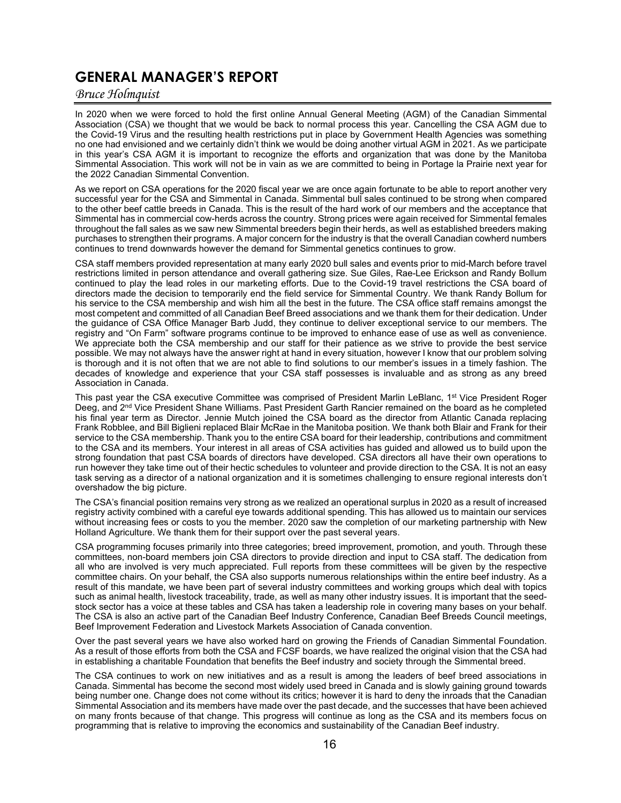### **GENERAL MANAGER'S REPORT**

### *Bruce Holmquist*

In 2020 when we were forced to hold the first online Annual General Meeting (AGM) of the Canadian Simmental Association (CSA) we thought that we would be back to normal process this year. Cancelling the CSA AGM due to the Covid-19 Virus and the resulting health restrictions put in place by Government Health Agencies was something no one had envisioned and we certainly didn't think we would be doing another virtual AGM in 2021. As we participate in this year's CSA AGM it is important to recognize the efforts and organization that was done by the Manitoba Simmental Association. This work will not be in vain as we are committed to being in Portage la Prairie next year for the 2022 Canadian Simmental Convention.

As we report on CSA operations for the 2020 fiscal year we are once again fortunate to be able to report another very successful year for the CSA and Simmental in Canada. Simmental bull sales continued to be strong when compared to the other beef cattle breeds in Canada. This is the result of the hard work of our members and the acceptance that Simmental has in commercial cow-herds across the country. Strong prices were again received for Simmental females throughout the fall sales as we saw new Simmental breeders begin their herds, as well as established breeders making purchases to strengthen their programs. A major concern for the industry is that the overall Canadian cowherd numbers continues to trend downwards however the demand for Simmental genetics continues to grow.

CSA staff members provided representation at many early 2020 bull sales and events prior to mid-March before travel restrictions limited in person attendance and overall gathering size. Sue Giles, Rae-Lee Erickson and Randy Bollum continued to play the lead roles in our marketing efforts. Due to the Covid-19 travel restrictions the CSA board of directors made the decision to temporarily end the field service for Simmental Country. We thank Randy Bollum for his service to the CSA membership and wish him all the best in the future. The CSA office staff remains amongst the most competent and committed of all Canadian Beef Breed associations and we thank them for their dedication. Under the guidance of CSA Office Manager Barb Judd, they continue to deliver exceptional service to our members. The registry and "On Farm" software programs continue to be improved to enhance ease of use as well as convenience. We appreciate both the CSA membership and our staff for their patience as we strive to provide the best service possible. We may not always have the answer right at hand in every situation, however I know that our problem solving is thorough and it is not often that we are not able to find solutions to our member's issues in a timely fashion. The decades of knowledge and experience that your CSA staff possesses is invaluable and as strong as any breed Association in Canada.

This past year the CSA executive Committee was comprised of President Marlin LeBlanc, 1<sup>st</sup> Vice President Roger Deeg, and 2<sup>nd</sup> Vice President Shane Williams. Past President Garth Rancier remained on the board as he completed his final year term as Director. Jennie Mutch joined the CSA board as the director from Atlantic Canada replacing Frank Robblee, and Bill Biglieni replaced Blair McRae in the Manitoba position. We thank both Blair and Frank for their service to the CSA membership. Thank you to the entire CSA board for their leadership, contributions and commitment to the CSA and its members. Your interest in all areas of CSA activities has guided and allowed us to build upon the strong foundation that past CSA boards of directors have developed. CSA directors all have their own operations to run however they take time out of their hectic schedules to volunteer and provide direction to the CSA. It is not an easy task serving as a director of a national organization and it is sometimes challenging to ensure regional interests don't overshadow the big picture.

The CSA's financial position remains very strong as we realized an operational surplus in 2020 as a result of increased registry activity combined with a careful eye towards additional spending. This has allowed us to maintain our services without increasing fees or costs to you the member. 2020 saw the completion of our marketing partnership with New Holland Agriculture. We thank them for their support over the past several years.

CSA programming focuses primarily into three categories; breed improvement, promotion, and youth. Through these committees, non-board members join CSA directors to provide direction and input to CSA staff. The dedication from all who are involved is very much appreciated. Full reports from these committees will be given by the respective committee chairs. On your behalf, the CSA also supports numerous relationships within the entire beef industry. As a result of this mandate, we have been part of several industry committees and working groups which deal with topics such as animal health, livestock traceability, trade, as well as many other industry issues. It is important that the seedstock sector has a voice at these tables and CSA has taken a leadership role in covering many bases on your behalf. The CSA is also an active part of the Canadian Beef Industry Conference, Canadian Beef Breeds Council meetings, Beef Improvement Federation and Livestock Markets Association of Canada convention.

Over the past several years we have also worked hard on growing the Friends of Canadian Simmental Foundation. As a result of those efforts from both the CSA and FCSF boards, we have realized the original vision that the CSA had in establishing a charitable Foundation that benefits the Beef industry and society through the Simmental breed.

The CSA continues to work on new initiatives and as a result is among the leaders of beef breed associations in Canada. Simmental has become the second most widely used breed in Canada and is slowly gaining ground towards being number one. Change does not come without its critics; however it is hard to deny the inroads that the Canadian Simmental Association and its members have made over the past decade, and the successes that have been achieved on many fronts because of that change. This progress will continue as long as the CSA and its members focus on programming that is relative to improving the economics and sustainability of the Canadian Beef industry.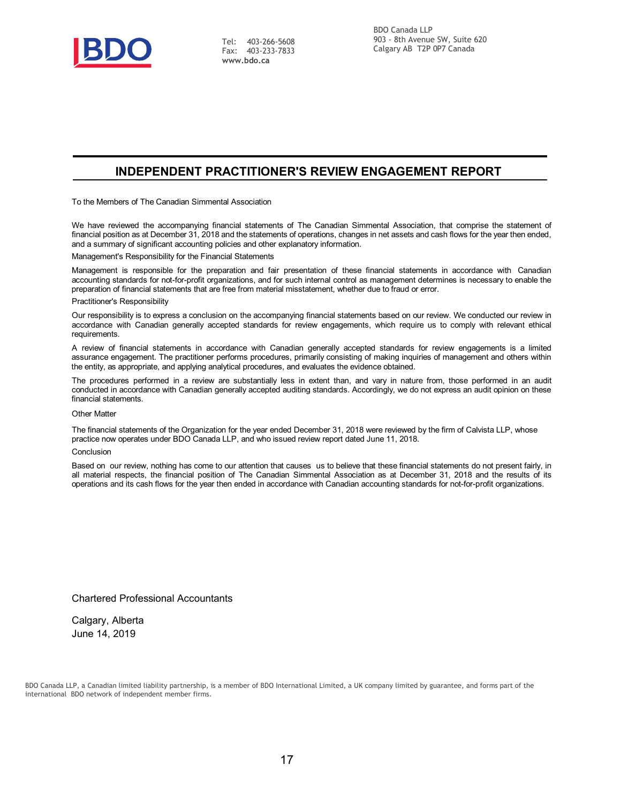

Tel: 403-266-5608 Fax: 403-233-7833 **[www.bdo.ca](http://www.bdo.ca/)**

### **INDEPENDENT PRACTITIONER'S REVIEW ENGAGEMENT REPORT**

To the Members of The Canadian Simmental Association

We have reviewed the accompanying financial statements of The Canadian Simmental Association, that comprise the statement of financial position as at December 31, 2018 and the statements of operations, changes in net assets and cash flows for the year then ended, and a summary of significant accounting policies and other explanatory information.

Management's Responsibility for the Financial Statements

Management is responsible for the preparation and fair presentation of these financial statements in accordance with Canadian accounting standards for not-for-profit organizations, and for such internal control as management determines is necessary to enable the preparation of financial statements that are free from material misstatement, whether due to fraud or error.

#### Practitioner's Responsibility

Our responsibility is to express a conclusion on the accompanying financial statements based on our review. We conducted our review in accordance with Canadian generally accepted standards for review engagements, which require us to comply with relevant ethical requirements.

A review of financial statements in accordance with Canadian generally accepted standards for review engagements is a limited assurance engagement. The practitioner performs procedures, primarily consisting of making inquiries of management and others within the entity, as appropriate, and applying analytical procedures, and evaluates the evidence obtained.

The procedures performed in a review are substantially less in extent than, and vary in nature from, those performed in an audit conducted in accordance with Canadian generally accepted auditing standards. Accordingly, we do not express an audit opinion on these financial statements.

#### Other Matter

The financial statements of the Organization for the year ended December 31, 2018 were reviewed by the firm of Calvista LLP, whose practice now operates under BDO Canada LLP, and who issued review report dated June 11, 2018.

#### Conclusion

Based on our review, nothing has come to our attention that causes us to believe that these financial statements do not present fairly, in all material respects, the financial position of The Canadian Simmental Association as at December 31, 2018 and the results of its operations and its cash flows for the year then ended in accordance with Canadian accounting standards for not-for-profit organizations.

#### Chartered Professional Accountants

Calgary, Alberta June 14, 2019

BDO Canada LLP, a Canadian limited liability partnership, is a member of BDO International Limited, a UK company limited by guarantee, and forms part of the international BDO network of independent member firms.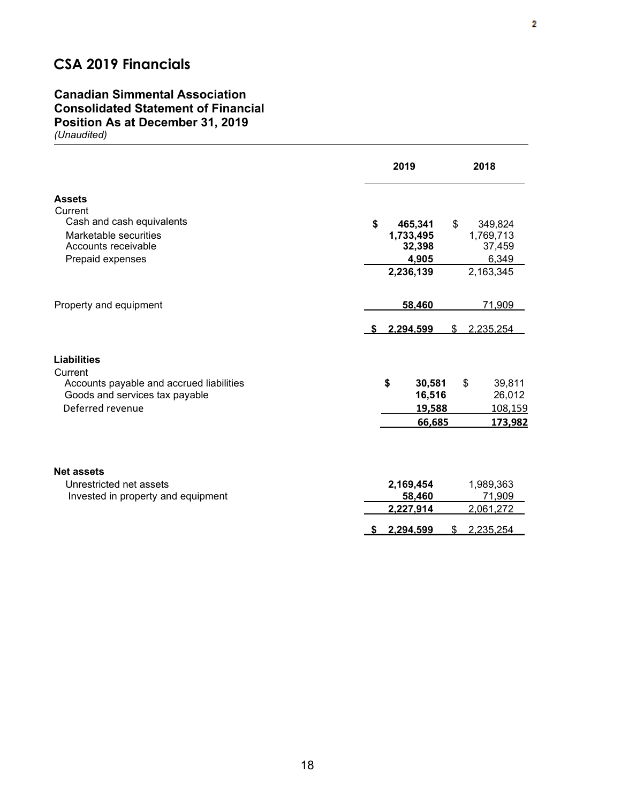## **CSA 2019 Financials**

### **Canadian Simmental Association Consolidated Statement of Financial Position As at December 31, 2019** *(Unaudited)*

|                                                                                       | 2019                   | 2018                   |
|---------------------------------------------------------------------------------------|------------------------|------------------------|
| <b>Assets</b><br>Current                                                              |                        |                        |
| Cash and cash equivalents                                                             | \$<br>465,341          | 349,824<br>\$          |
| Marketable securities<br>Accounts receivable                                          | 1,733,495<br>32,398    | 1,769,713<br>37,459    |
| Prepaid expenses                                                                      | 4,905                  | 6,349                  |
|                                                                                       | 2,236,139              | 2,163,345              |
| Property and equipment                                                                | 58,460                 | 71,909                 |
|                                                                                       | 2.294.599              | 2.235.254<br>\$        |
| <b>Liabilities</b>                                                                    |                        |                        |
| Current<br>Accounts payable and accrued liabilities<br>Goods and services tax payable | \$<br>30,581<br>16,516 | 39,811<br>\$<br>26,012 |
| Deferred revenue                                                                      | 19,588                 | 108,159                |
|                                                                                       | 66,685                 | 173,982                |
| <b>Net assets</b>                                                                     |                        |                        |
| Unrestricted net assets                                                               | 2,169,454              | 1,989,363              |
| Invested in property and equipment                                                    | 58,460                 | 71,909                 |
|                                                                                       | 2,227,914              | 2,061,272              |
|                                                                                       | 2.294.599<br>S.        | 2.235.254<br>\$        |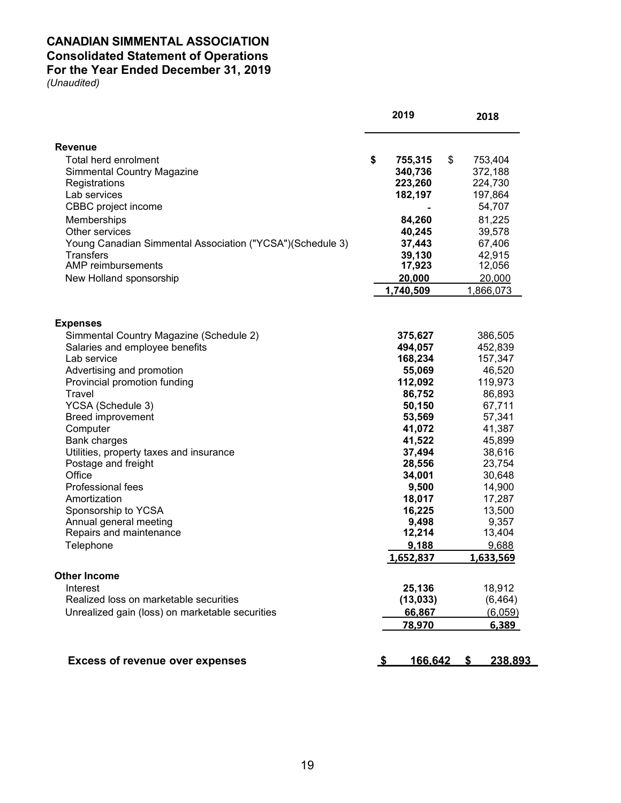### **CANADIAN SIMMENTAL ASSOCIATION Consolidated Statement of Operations For the Year Ended December 31, 2019**

|                                                           | 2019           | 2018          |
|-----------------------------------------------------------|----------------|---------------|
| <b>Revenue</b>                                            |                |               |
| Total herd enrolment                                      | \$<br>755,315  | \$<br>753,404 |
| <b>Simmental Country Magazine</b>                         | 340,736        | 372,188       |
| Registrations                                             | 223,260        | 224,730       |
| Lab services                                              | 182,197        | 197,864       |
| CBBC project income                                       |                | 54,707        |
| Memberships                                               | 84,260         | 81,225        |
| Other services                                            | 40,245         | 39,578        |
| Young Canadian Simmental Association ("YCSA")(Schedule 3) | 37,443         | 67,406        |
| <b>Transfers</b>                                          | 39,130         | 42,915        |
| AMP reimbursements                                        | 17,923         | 12,056        |
| New Holland sponsorship                                   | 20,000         | 20,000        |
|                                                           | 1,740,509      | 1,866,073     |
|                                                           |                |               |
| <b>Expenses</b>                                           |                |               |
| Simmental Country Magazine (Schedule 2)                   | 375,627        | 386,505       |
| Salaries and employee benefits                            | 494,057        | 452,839       |
| Lab service                                               | 168,234        | 157,347       |
| Advertising and promotion                                 | 55,069         | 46,520        |
| Provincial promotion funding                              | 112,092        | 119,973       |
| Travel                                                    | 86,752         | 86,893        |
| YCSA (Schedule 3)                                         | 50,150         | 67,711        |
| <b>Breed improvement</b>                                  | 53,569         | 57,341        |
| Computer                                                  | 41,072         | 41,387        |
| <b>Bank charges</b>                                       | 41,522         | 45,899        |
| Utilities, property taxes and insurance                   | 37,494         | 38,616        |
| Postage and freight                                       | 28,556         | 23,754        |
| Office                                                    | 34,001         | 30,648        |
| Professional fees                                         | 9,500          | 14,900        |
| Amortization                                              | 18,017         | 17,287        |
| Sponsorship to YCSA                                       | 16,225         | 13,500        |
| Annual general meeting                                    | 9,498          | 9,357         |
| Repairs and maintenance                                   | 12,214         | 13,404        |
| Telephone                                                 | 9,188          | 9,688         |
|                                                           | 1,652,837      | 1,633,569     |
| <b>Other Income</b>                                       |                |               |
| Interest                                                  | 25,136         | 18,912        |
| Realized loss on marketable securities                    | (13, 033)      | (6, 464)      |
| Unrealized gain (loss) on marketable securities           | 66,867         | (6,059)       |
|                                                           | 78,970         | 6,389         |
| <b>Excess of revenue over expenses</b>                    | 166,642<br>- 5 | 238,893<br>S  |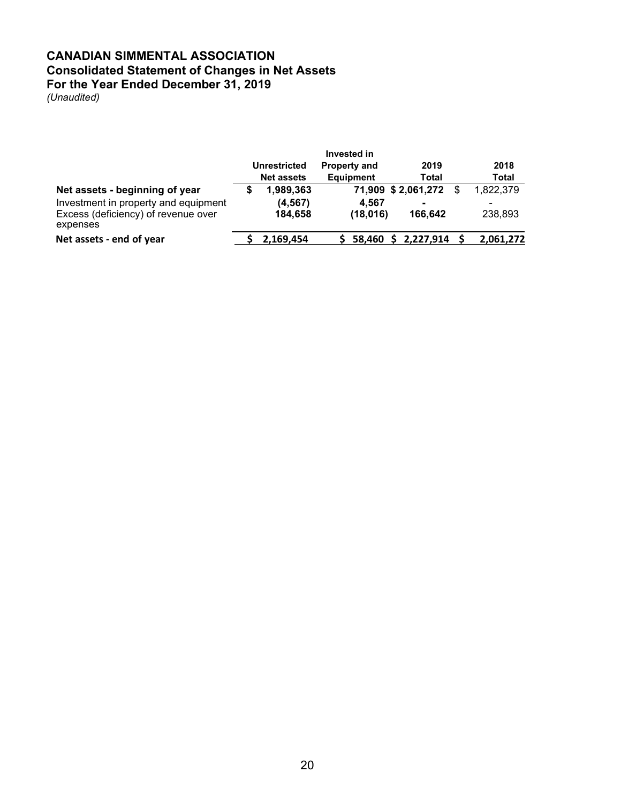### **CANADIAN SIMMENTAL ASSOCIATION Consolidated Statement of Changes in Net Assets For the Year Ended December 31, 2019**

|                                                 | Invested in<br><b>Property and</b><br>2019<br><b>Unrestricted</b> |                   |                  |                    |  | 2018         |
|-------------------------------------------------|-------------------------------------------------------------------|-------------------|------------------|--------------------|--|--------------|
|                                                 |                                                                   | <b>Net assets</b> | <b>Equipment</b> | Total              |  | <b>Total</b> |
| Net assets - beginning of year                  |                                                                   | 1,989,363         |                  | 71,909 \$2,061,272 |  | 1,822,379    |
| Investment in property and equipment            |                                                                   | (4, 567)          | 4.567            | $\blacksquare$     |  | -            |
| Excess (deficiency) of revenue over<br>expenses |                                                                   | 184,658           | (18,016)         | 166.642            |  | 238,893      |
| Net assets - end of year                        |                                                                   | 2,169,454         | 58.460           | 2,227,914          |  | 2,061,272    |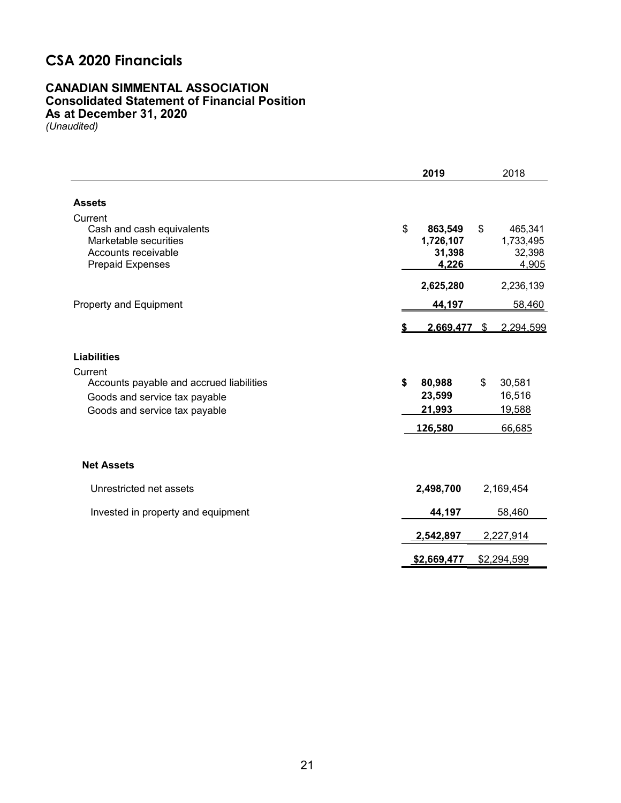### **CSA 2020 Financials**

### **CANADIAN SIMMENTAL ASSOCIATION Consolidated Statement of Financial Position As at December 31, 2020**

|                                                                                                                       | 2019                                          | 2018                                                                 |
|-----------------------------------------------------------------------------------------------------------------------|-----------------------------------------------|----------------------------------------------------------------------|
| <b>Assets</b>                                                                                                         |                                               |                                                                      |
| Current<br>Cash and cash equivalents<br>Marketable securities<br>Accounts receivable<br><b>Prepaid Expenses</b>       | \$<br>863,549<br>1,726,107<br>31,398<br>4,226 | 465,341<br>$\boldsymbol{\mathsf{s}}$<br>1,733,495<br>32,398<br>4,905 |
|                                                                                                                       | 2,625,280                                     | 2,236,139                                                            |
| Property and Equipment                                                                                                | 44,197                                        | 58,460                                                               |
|                                                                                                                       | 2,669,477                                     | 2,294,599<br>\$                                                      |
| <b>Liabilities</b>                                                                                                    |                                               |                                                                      |
| Current<br>Accounts payable and accrued liabilities<br>Goods and service tax payable<br>Goods and service tax payable | \$<br>80,988<br>23,599<br>21,993              | $\mathfrak{L}$<br>30,581<br>16,516<br>19,588                         |
|                                                                                                                       | 126,580                                       | 66,685                                                               |
| <b>Net Assets</b>                                                                                                     |                                               |                                                                      |
| Unrestricted net assets                                                                                               | 2,498,700                                     | 2,169,454                                                            |
| Invested in property and equipment                                                                                    | 44,197                                        | 58,460                                                               |
|                                                                                                                       | 2,542,897                                     | 2,227,914                                                            |
|                                                                                                                       | \$2,669,477                                   | \$2,294,599                                                          |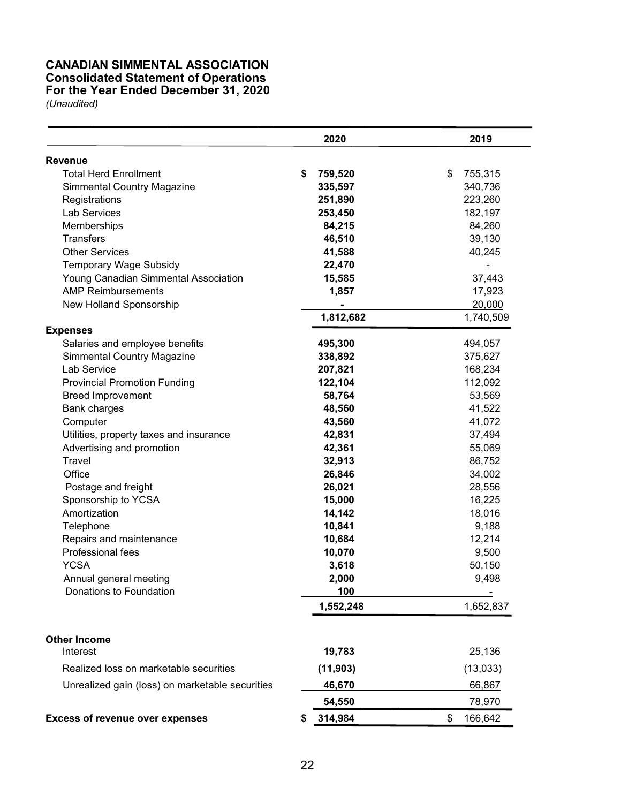### **CANADIAN SIMMENTAL ASSOCIATION Consolidated Statement of Operations For the Year Ended December 31, 2020**

|                                                 | 2020          | 2019          |
|-------------------------------------------------|---------------|---------------|
| Revenue                                         |               |               |
| <b>Total Herd Enrollment</b>                    | \$<br>759,520 | \$<br>755,315 |
| Simmental Country Magazine                      | 335,597       | 340,736       |
| Registrations                                   | 251,890       | 223,260       |
| <b>Lab Services</b>                             | 253,450       | 182,197       |
| Memberships                                     | 84,215        | 84,260        |
| <b>Transfers</b>                                | 46,510        | 39,130        |
| <b>Other Services</b>                           | 41,588        | 40,245        |
| <b>Temporary Wage Subsidy</b>                   | 22,470        |               |
| Young Canadian Simmental Association            | 15,585        | 37,443        |
| <b>AMP Reimbursements</b>                       | 1,857         | 17,923        |
| New Holland Sponsorship                         |               | 20,000        |
|                                                 | 1,812,682     | 1,740,509     |
| <b>Expenses</b>                                 |               |               |
| Salaries and employee benefits                  | 495,300       | 494,057       |
| <b>Simmental Country Magazine</b>               | 338,892       | 375,627       |
| Lab Service                                     | 207,821       | 168,234       |
| <b>Provincial Promotion Funding</b>             | 122,104       | 112,092       |
| <b>Breed Improvement</b>                        | 58,764        | 53,569        |
| <b>Bank charges</b>                             | 48,560        | 41,522        |
| Computer                                        | 43,560        | 41,072        |
| Utilities, property taxes and insurance         | 42,831        | 37,494        |
| Advertising and promotion                       | 42,361        | 55,069        |
| Travel                                          | 32,913        | 86,752        |
| Office                                          | 26,846        | 34,002        |
| Postage and freight                             | 26,021        | 28,556        |
| Sponsorship to YCSA                             | 15,000        | 16,225        |
| Amortization                                    | 14,142        | 18,016        |
| Telephone                                       | 10,841        | 9,188         |
| Repairs and maintenance                         | 10,684        | 12,214        |
| Professional fees                               | 10,070        | 9,500         |
| <b>YCSA</b>                                     | 3,618         | 50,150        |
| Annual general meeting                          | 2,000         | 9,498         |
| Donations to Foundation                         | 100           |               |
|                                                 | 1,552,248     | 1,652,837     |
|                                                 |               |               |
| <b>Other Income</b>                             |               |               |
| Interest                                        | 19,783        | 25,136        |
| Realized loss on marketable securities          | (11, 903)     | (13,033)      |
| Unrealized gain (loss) on marketable securities | 46,670        | 66,867        |
|                                                 | 54,550        | 78,970        |
| <b>Excess of revenue over expenses</b>          | 314,984       | \$<br>166,642 |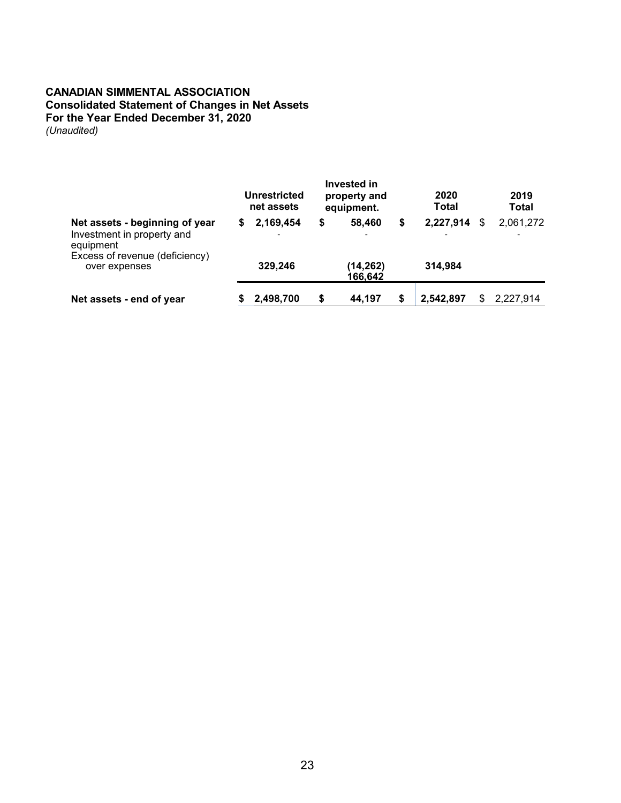### **CANADIAN SIMMENTAL ASSOCIATION Consolidated Statement of Changes in Net Assets For the Year Ended December 31, 2020** *(Unaudited)*

|                                                                                                             |   | Unrestricted<br>net assets | Invested in<br>property and<br>equipment. |    | 2020<br>Total |   | 2019<br><b>Total</b> |
|-------------------------------------------------------------------------------------------------------------|---|----------------------------|-------------------------------------------|----|---------------|---|----------------------|
| Net assets - beginning of year<br>Investment in property and<br>equipment<br>Excess of revenue (deficiency) | S | 2,169,454                  | \$<br>58,460                              | \$ | 2,227,914     | S | 2,061,272            |
| over expenses                                                                                               |   | 329,246                    | (14,262)<br>166.642                       |    | 314,984       |   |                      |
| Net assets - end of year                                                                                    |   | 2,498,700                  | \$<br>44,197                              | S  | 2,542,897     |   | 2,227,914            |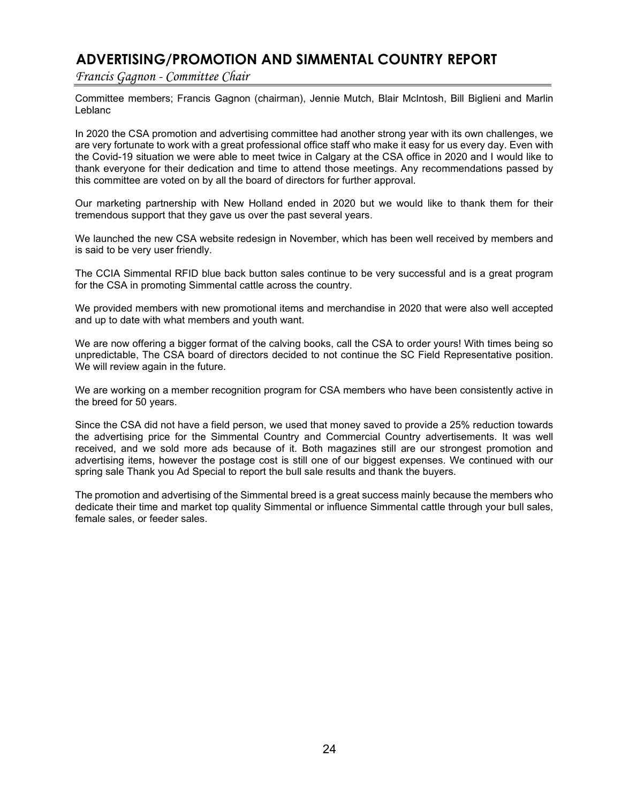### **ADVERTISING/PROMOTION AND SIMMENTAL COUNTRY REPORT**

*Francis Gagnon - Committee Chair*

Committee members; Francis Gagnon (chairman), Jennie Mutch, Blair McIntosh, Bill Biglieni and Marlin Leblanc

In 2020 the CSA promotion and advertising committee had another strong year with its own challenges, we are very fortunate to work with a great professional office staff who make it easy for us every day. Even with the Covid-19 situation we were able to meet twice in Calgary at the CSA office in 2020 and I would like to thank everyone for their dedication and time to attend those meetings. Any recommendations passed by this committee are voted on by all the board of directors for further approval.

Our marketing partnership with New Holland ended in 2020 but we would like to thank them for their tremendous support that they gave us over the past several years.

We launched the new CSA website redesign in November, which has been well received by members and is said to be very user friendly.

The CCIA Simmental RFID blue back button sales continue to be very successful and is a great program for the CSA in promoting Simmental cattle across the country.

We provided members with new promotional items and merchandise in 2020 that were also well accepted and up to date with what members and youth want.

We are now offering a bigger format of the calving books, call the CSA to order yours! With times being so unpredictable, The CSA board of directors decided to not continue the SC Field Representative position. We will review again in the future.

We are working on a member recognition program for CSA members who have been consistently active in the breed for 50 years.

Since the CSA did not have a field person, we used that money saved to provide a 25% reduction towards the advertising price for the Simmental Country and Commercial Country advertisements. It was well received, and we sold more ads because of it. Both magazines still are our strongest promotion and advertising items, however the postage cost is still one of our biggest expenses. We continued with our spring sale Thank you Ad Special to report the bull sale results and thank the buyers.

The promotion and advertising of the Simmental breed is a great success mainly because the members who dedicate their time and market top quality Simmental or influence Simmental cattle through your bull sales, female sales, or feeder sales.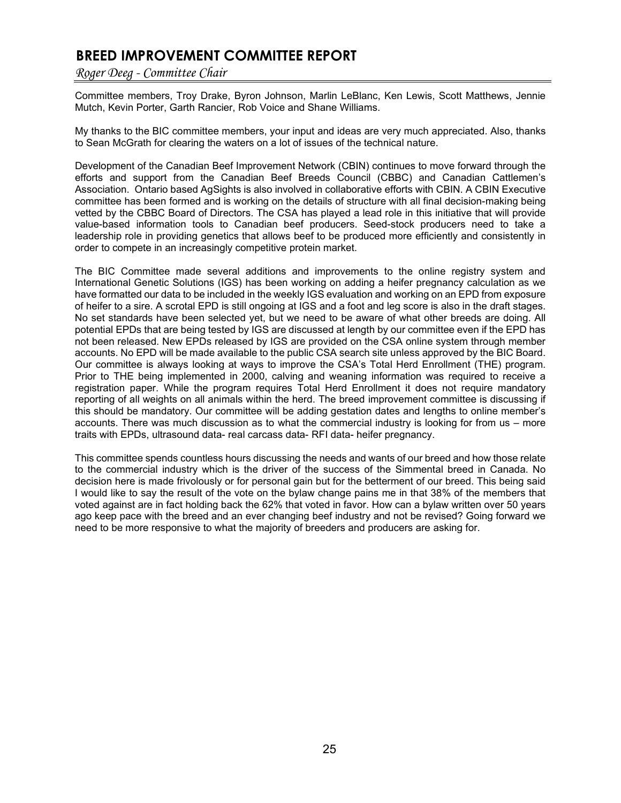### **BREED IMPROVEMENT COMMITTEE REPORT**

*Roger Deeg - Committee Chair*

Committee members, Troy Drake, Byron Johnson, Marlin LeBlanc, Ken Lewis, Scott Matthews, Jennie Mutch, Kevin Porter, Garth Rancier, Rob Voice and Shane Williams.

My thanks to the BIC committee members, your input and ideas are very much appreciated. Also, thanks to Sean McGrath for clearing the waters on a lot of issues of the technical nature.

Development of the Canadian Beef Improvement Network (CBIN) continues to move forward through the efforts and support from the Canadian Beef Breeds Council (CBBC) and Canadian Cattlemen's Association. Ontario based AgSights is also involved in collaborative efforts with CBIN. A CBIN Executive committee has been formed and is working on the details of structure with all final decision-making being vetted by the CBBC Board of Directors. The CSA has played a lead role in this initiative that will provide value-based information tools to Canadian beef producers. Seed-stock producers need to take a leadership role in providing genetics that allows beef to be produced more efficiently and consistently in order to compete in an increasingly competitive protein market.

The BIC Committee made several additions and improvements to the online registry system and International Genetic Solutions (IGS) has been working on adding a heifer pregnancy calculation as we have formatted our data to be included in the weekly IGS evaluation and working on an EPD from exposure of heifer to a sire. A scrotal EPD is still ongoing at IGS and a foot and leg score is also in the draft stages. No set standards have been selected yet, but we need to be aware of what other breeds are doing. All potential EPDs that are being tested by IGS are discussed at length by our committee even if the EPD has not been released. New EPDs released by IGS are provided on the CSA online system through member accounts. No EPD will be made available to the public CSA search site unless approved by the BIC Board. Our committee is always looking at ways to improve the CSA's Total Herd Enrollment (THE) program. Prior to THE being implemented in 2000, calving and weaning information was required to receive a registration paper. While the program requires Total Herd Enrollment it does not require mandatory reporting of all weights on all animals within the herd. The breed improvement committee is discussing if this should be mandatory. Our committee will be adding gestation dates and lengths to online member's accounts. There was much discussion as to what the commercial industry is looking for from us – more traits with EPDs, ultrasound data- real carcass data- RFI data- heifer pregnancy.

This committee spends countless hours discussing the needs and wants of our breed and how those relate to the commercial industry which is the driver of the success of the Simmental breed in Canada. No decision here is made frivolously or for personal gain but for the betterment of our breed. This being said I would like to say the result of the vote on the bylaw change pains me in that 38% of the members that voted against are in fact holding back the 62% that voted in favor. How can a bylaw written over 50 years ago keep pace with the breed and an ever changing beef industry and not be revised? Going forward we need to be more responsive to what the majority of breeders and producers are asking for.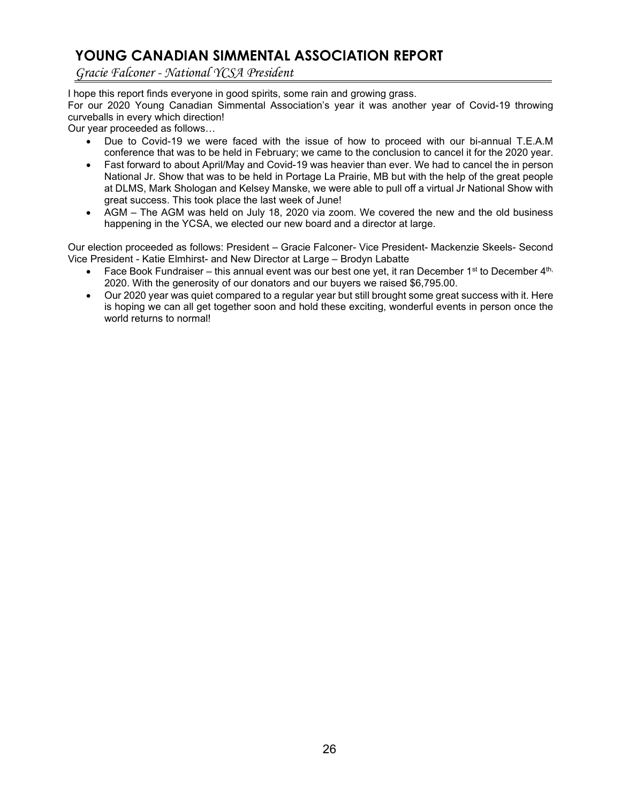### **YOUNG CANADIAN SIMMENTAL ASSOCIATION REPORT**

*Gracie Falconer - National YCSA President*

I hope this report finds everyone in good spirits, some rain and growing grass.

For our 2020 Young Canadian Simmental Association's year it was another year of Covid-19 throwing curveballs in every which direction!

Our year proceeded as follows…

- Due to Covid-19 we were faced with the issue of how to proceed with our bi-annual T.E.A.M conference that was to be held in February; we came to the conclusion to cancel it for the 2020 year.
- Fast forward to about April/May and Covid-19 was heavier than ever. We had to cancel the in person National Jr. Show that was to be held in Portage La Prairie, MB but with the help of the great people at DLMS, Mark Shologan and Kelsey Manske, we were able to pull off a virtual Jr National Show with great success. This took place the last week of June!
- AGM The AGM was held on July 18, 2020 via zoom. We covered the new and the old business happening in the YCSA, we elected our new board and a director at large.

Our election proceeded as follows: President – Gracie Falconer- Vice President- Mackenzie Skeels- Second Vice President - Katie Elmhirst- and New Director at Large – Brodyn Labatte

- Face Book Fundraiser this annual event was our best one yet, it ran December 1<sup>st</sup> to December  $4<sup>th</sup>$ , 2020. With the generosity of our donators and our buyers we raised \$6,795.00.
- Our 2020 year was quiet compared to a regular year but still brought some great success with it. Here is hoping we can all get together soon and hold these exciting, wonderful events in person once the world returns to normal!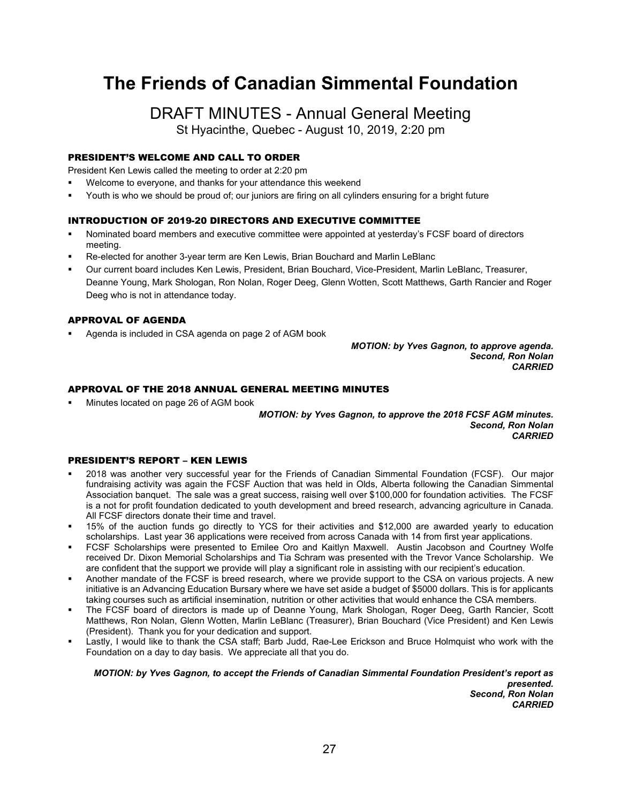# **The Friends of Canadian Simmental Foundation**

DRAFT MINUTES - Annual General Meeting

St Hyacinthe, Quebec - August 10, 2019, 2:20 pm

### PRESIDENT'S WELCOME AND CALL TO ORDER

President Ken Lewis called the meeting to order at 2:20 pm

- Welcome to everyone, and thanks for your attendance this weekend
- Youth is who we should be proud of; our juniors are firing on all cylinders ensuring for a bright future

### INTRODUCTION OF 2019-20 DIRECTORS AND EXECUTIVE COMMITTEE

- Nominated board members and executive committee were appointed at yesterday's FCSF board of directors meeting.
- Re-elected for another 3-year term are Ken Lewis, Brian Bouchard and Marlin LeBlanc
- Our current board includes Ken Lewis, President, Brian Bouchard, Vice-President, Marlin LeBlanc, Treasurer, Deanne Young, Mark Shologan, Ron Nolan, Roger Deeg, Glenn Wotten, Scott Matthews, Garth Rancier and Roger Deeg who is not in attendance today.

### APPROVAL OF AGENDA

Agenda is included in CSA agenda on page 2 of AGM book

*MOTION: by Yves Gagnon, to approve agenda. Second, Ron Nolan CARRIED*

#### APPROVAL OF THE 2018 ANNUAL GENERAL MEETING MINUTES

Minutes located on page 26 of AGM book

*MOTION: by Yves Gagnon, to approve the 2018 FCSF AGM minutes. Second, Ron Nolan CARRIED*

### PRESIDENT'S REPORT – KEN LEWIS

- 2018 was another very successful year for the Friends of Canadian Simmental Foundation (FCSF). Our major fundraising activity was again the FCSF Auction that was held in Olds, Alberta following the Canadian Simmental Association banquet. The sale was a great success, raising well over \$100,000 for foundation activities. The FCSF is a not for profit foundation dedicated to youth development and breed research, advancing agriculture in Canada. All FCSF directors donate their time and travel.
- 15% of the auction funds go directly to YCS for their activities and \$12,000 are awarded yearly to education scholarships. Last year 36 applications were received from across Canada with 14 from first year applications.
- FCSF Scholarships were presented to Emilee Oro and Kaitlyn Maxwell. Austin Jacobson and Courtney Wolfe received Dr. Dixon Memorial Scholarships and Tia Schram was presented with the Trevor Vance Scholarship. We are confident that the support we provide will play a significant role in assisting with our recipient's education.
- Another mandate of the FCSF is breed research, where we provide support to the CSA on various projects. A new initiative is an Advancing Education Bursary where we have set aside a budget of \$5000 dollars. This is for applicants taking courses such as artificial insemination, nutrition or other activities that would enhance the CSA members.
- The FCSF board of directors is made up of Deanne Young, Mark Shologan, Roger Deeg, Garth Rancier, Scott Matthews, Ron Nolan, Glenn Wotten, Marlin LeBlanc (Treasurer), Brian Bouchard (Vice President) and Ken Lewis (President). Thank you for your dedication and support.
- Lastly, I would like to thank the CSA staff; Barb Judd, Rae-Lee Erickson and Bruce Holmquist who work with the Foundation on a day to day basis. We appreciate all that you do.

*MOTION: by Yves Gagnon, to accept the Friends of Canadian Simmental Foundation President's report as presented. Second, Ron Nolan CARRIED*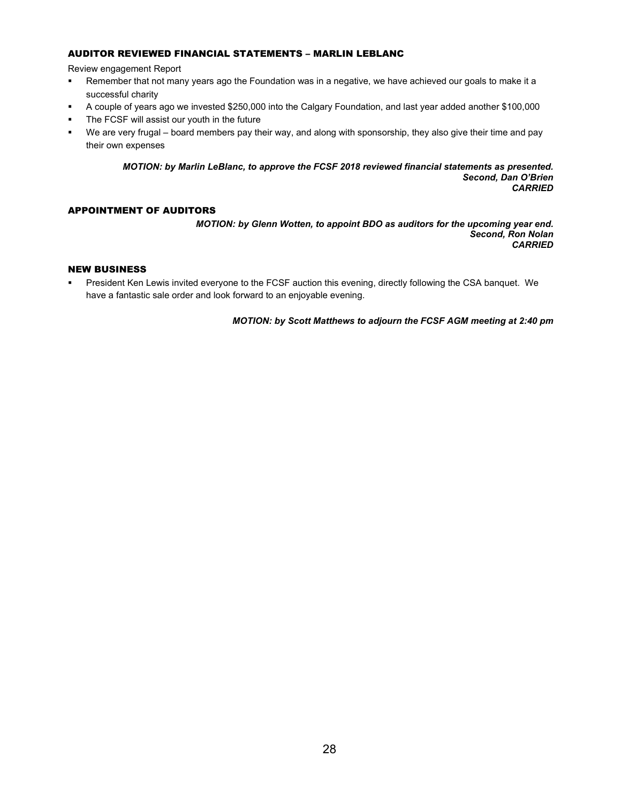### AUDITOR REVIEWED FINANCIAL STATEMENTS – MARLIN LEBLANC

Review engagement Report

- Remember that not many years ago the Foundation was in a negative, we have achieved our goals to make it a successful charity
- A couple of years ago we invested \$250,000 into the Calgary Foundation, and last year added another \$100,000
- **The FCSF will assist our youth in the future**
- We are very frugal board members pay their way, and along with sponsorship, they also give their time and pay their own expenses

*MOTION: by Marlin LeBlanc, to approve the FCSF 2018 reviewed financial statements as presented. Second, Dan O'Brien CARRIED*

### APPOINTMENT OF AUDITORS

*MOTION: by Glenn Wotten, to appoint BDO as auditors for the upcoming year end. Second, Ron Nolan CARRIED*

### NEW BUSINESS

 President Ken Lewis invited everyone to the FCSF auction this evening, directly following the CSA banquet. We have a fantastic sale order and look forward to an enjoyable evening.

*MOTION: by Scott Matthews to adjourn the FCSF AGM meeting at 2:40 pm*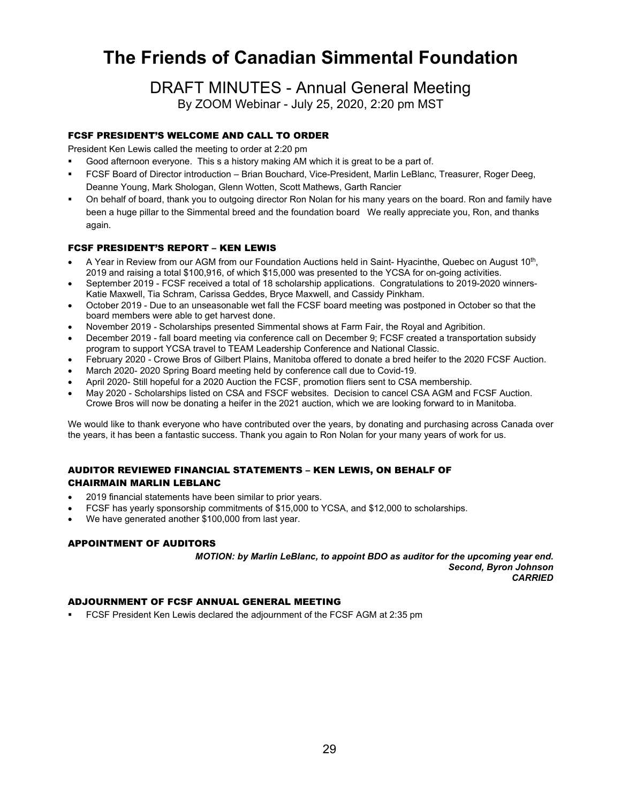# **The Friends of Canadian Simmental Foundation**

### DRAFT MINUTES - Annual General Meeting

By ZOOM Webinar - July 25, 2020, 2:20 pm MST

### FCSF PRESIDENT'S WELCOME AND CALL TO ORDER

President Ken Lewis called the meeting to order at 2:20 pm

- Good afternoon everyone. This s a history making AM which it is great to be a part of.
- FCSF Board of Director introduction Brian Bouchard, Vice-President, Marlin LeBlanc, Treasurer, Roger Deeg, Deanne Young, Mark Shologan, Glenn Wotten, Scott Mathews, Garth Rancier
- On behalf of board, thank you to outgoing director Ron Nolan for his many years on the board. Ron and family have been a huge pillar to the Simmental breed and the foundation board We really appreciate you, Ron, and thanks again.

### FCSF PRESIDENT'S REPORT – KEN LEWIS

- A Year in Review from our AGM from our Foundation Auctions held in Saint- Hyacinthe, Quebec on August 10th, 2019 and raising a total \$100,916, of which \$15,000 was presented to the YCSA for on-going activities.
- September 2019 FCSF received a total of 18 scholarship applications. Congratulations to 2019-2020 winners-Katie Maxwell, Tia Schram, Carissa Geddes, Bryce Maxwell, and Cassidy Pinkham.
- October 2019 Due to an unseasonable wet fall the FCSF board meeting was postponed in October so that the board members were able to get harvest done.
- November 2019 Scholarships presented Simmental shows at Farm Fair, the Royal and Agribition.
- December 2019 fall board meeting via conference call on December 9; FCSF created a transportation subsidy program to support YCSA travel to TEAM Leadership Conference and National Classic.
- February 2020 Crowe Bros of Gilbert Plains, Manitoba offered to donate a bred heifer to the 2020 FCSF Auction.
- March 2020- 2020 Spring Board meeting held by conference call due to Covid-19.
- April 2020- Still hopeful for a 2020 Auction the FCSF, promotion fliers sent to CSA membership.
- May 2020 Scholarships listed on CSA and FSCF websites. Decision to cancel CSA AGM and FCSF Auction. Crowe Bros will now be donating a heifer in the 2021 auction, which we are looking forward to in Manitoba.

We would like to thank everyone who have contributed over the years, by donating and purchasing across Canada over the years, it has been a fantastic success. Thank you again to Ron Nolan for your many years of work for us.

### AUDITOR REVIEWED FINANCIAL STATEMENTS – KEN LEWIS, ON BEHALF OF CHAIRMAIN MARLIN LEBLANC

- 2019 financial statements have been similar to prior years.
- FCSF has yearly sponsorship commitments of \$15,000 to YCSA, and \$12,000 to scholarships.
- We have generated another \$100,000 from last year.

### APPOINTMENT OF AUDITORS

*MOTION: by Marlin LeBlanc, to appoint BDO as auditor for the upcoming year end. Second, Byron Johnson CARRIED*

### ADJOURNMENT OF FCSF ANNUAL GENERAL MEETING

FCSF President Ken Lewis declared the adjournment of the FCSF AGM at 2:35 pm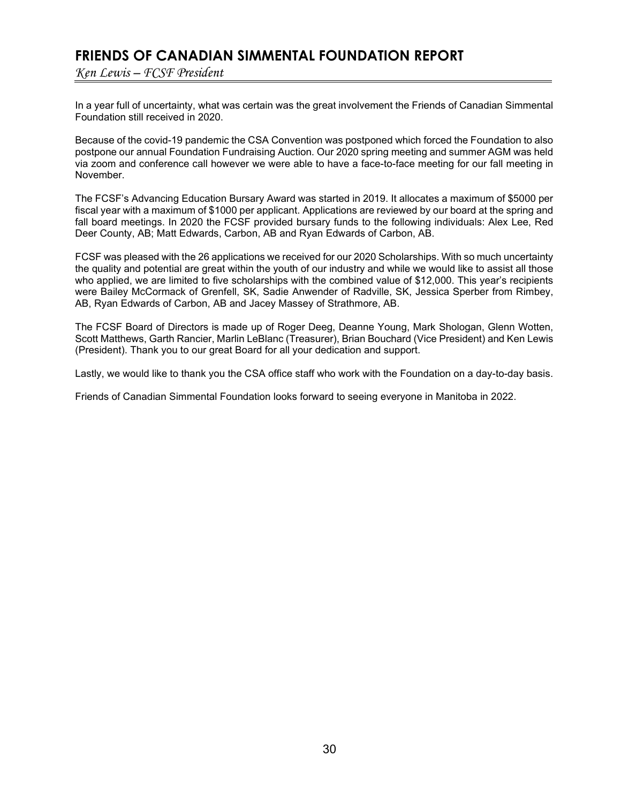### **FRIENDS OF CANADIAN SIMMENTAL FOUNDATION REPORT**

*Ken Lewis – FCSF President*

In a year full of uncertainty, what was certain was the great involvement the Friends of Canadian Simmental Foundation still received in 2020.

Because of the covid-19 pandemic the CSA Convention was postponed which forced the Foundation to also postpone our annual Foundation Fundraising Auction. Our 2020 spring meeting and summer AGM was held via zoom and conference call however we were able to have a face-to-face meeting for our fall meeting in November.

The FCSF's Advancing Education Bursary Award was started in 2019. It allocates a maximum of \$5000 per fiscal year with a maximum of \$1000 per applicant. Applications are reviewed by our board at the spring and fall board meetings. In 2020 the FCSF provided bursary funds to the following individuals: Alex Lee, Red Deer County, AB; Matt Edwards, Carbon, AB and Ryan Edwards of Carbon, AB.

FCSF was pleased with the 26 applications we received for our 2020 Scholarships. With so much uncertainty the quality and potential are great within the youth of our industry and while we would like to assist all those who applied, we are limited to five scholarships with the combined value of \$12,000. This year's recipients were Bailey McCormack of Grenfell, SK, Sadie Anwender of Radville, SK, Jessica Sperber from Rimbey, AB, Ryan Edwards of Carbon, AB and Jacey Massey of Strathmore, AB.

The FCSF Board of Directors is made up of Roger Deeg, Deanne Young, Mark Shologan, Glenn Wotten, Scott Matthews, Garth Rancier, Marlin LeBlanc (Treasurer), Brian Bouchard (Vice President) and Ken Lewis (President). Thank you to our great Board for all your dedication and support.

Lastly, we would like to thank you the CSA office staff who work with the Foundation on a day-to-day basis.

Friends of Canadian Simmental Foundation looks forward to seeing everyone in Manitoba in 2022.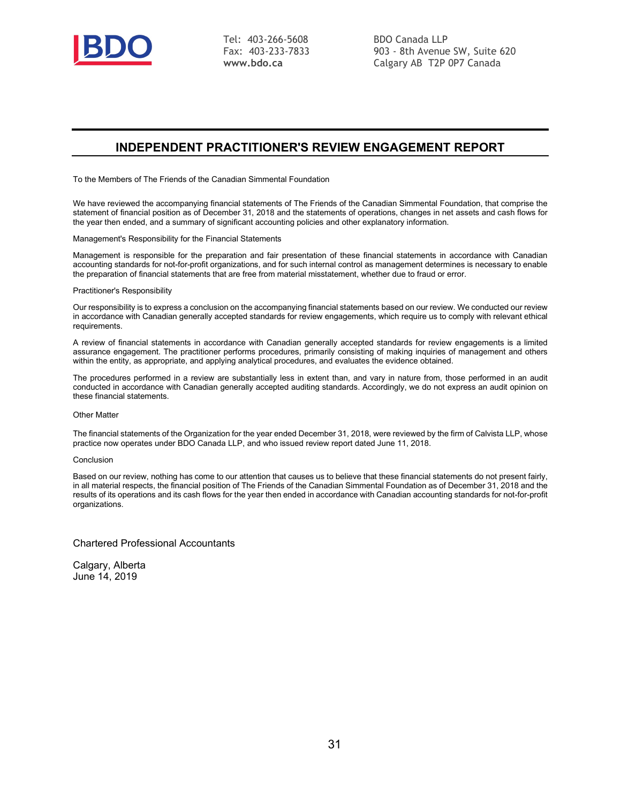

Tel: 403-266-5608 Fax: 403-233-7833 **www.bdo.ca**

BDO Canada LLP 903 - 8th Avenue SW, Suite 620 Calgary AB T2P 0P7 Canada

### **INDEPENDENT PRACTITIONER'S REVIEW ENGAGEMENT REPORT**

To the Members of The Friends of the Canadian Simmental Foundation

We have reviewed the accompanying financial statements of The Friends of the Canadian Simmental Foundation, that comprise the statement of financial position as of December 31, 2018 and the statements of operations, changes in net assets and cash flows for the year then ended, and a summary of significant accounting policies and other explanatory information.

Management's Responsibility for the Financial Statements

Management is responsible for the preparation and fair presentation of these financial statements in accordance with Canadian accounting standards for not-for-profit organizations, and for such internal control as management determines is necessary to enable the preparation of financial statements that are free from material misstatement, whether due to fraud or error.

#### Practitioner's Responsibility

Our responsibility is to express a conclusion on the accompanying financial statements based on our review. We conducted our review in accordance with Canadian generally accepted standards for review engagements, which require us to comply with relevant ethical requirements.

A review of financial statements in accordance with Canadian generally accepted standards for review engagements is a limited assurance engagement. The practitioner performs procedures, primarily consisting of making inquiries of management and others within the entity, as appropriate, and applying analytical procedures, and evaluates the evidence obtained.

The procedures performed in a review are substantially less in extent than, and vary in nature from, those performed in an audit conducted in accordance with Canadian generally accepted auditing standards. Accordingly, we do not express an audit opinion on these financial statements.

#### Other Matter

The financial statements of the Organization for the year ended December 31, 2018, were reviewed by the firm of Calvista LLP, whose practice now operates under BDO Canada LLP, and who issued review report dated June 11, 2018.

#### Conclusion

Based on our review, nothing has come to our attention that causes us to believe that these financial statements do not present fairly, in all material respects, the financial position of The Friends of the Canadian Simmental Foundation as of December 31, 2018 and the results of its operations and its cash flows for the year then ended in accordance with Canadian accounting standards for not-for-profit organizations.

Chartered Professional Accountants

Calgary, Alberta June 14, 2019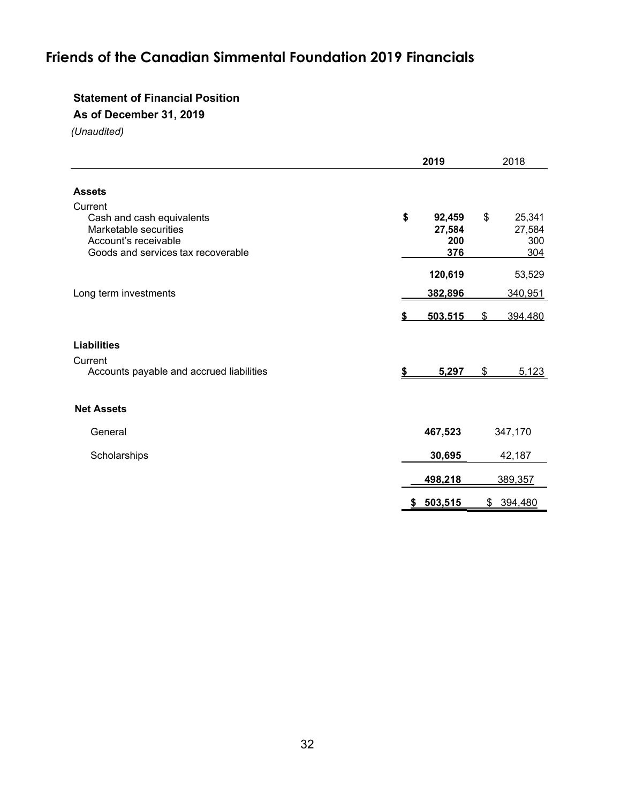## **Friends of the Canadian Simmental Foundation 2019 Financials**

### **Statement of Financial Position**

**As of December 31, 2019** 

|                                                                                                                             | 2019                                 | 2018           |                                |
|-----------------------------------------------------------------------------------------------------------------------------|--------------------------------------|----------------|--------------------------------|
| <b>Assets</b>                                                                                                               |                                      |                |                                |
| Current<br>Cash and cash equivalents<br>Marketable securities<br>Account's receivable<br>Goods and services tax recoverable | \$<br>92,459<br>27,584<br>200<br>376 | $\mathfrak{S}$ | 25,341<br>27,584<br>300<br>304 |
|                                                                                                                             | 120,619                              |                | 53,529                         |
| Long term investments                                                                                                       | 382,896                              | 340,951        |                                |
|                                                                                                                             | 503.515                              | 394.480<br>S   |                                |
| <b>Liabilities</b>                                                                                                          |                                      |                |                                |
| Current<br>Accounts payable and accrued liabilities                                                                         | 5,297<br>S                           | \$             | 5,123                          |
| <b>Net Assets</b>                                                                                                           |                                      |                |                                |
| General                                                                                                                     | 467,523                              | 347,170        |                                |
| Scholarships                                                                                                                | 30,695                               | 42,187         |                                |
|                                                                                                                             | 498,218                              | 389,357        |                                |
|                                                                                                                             | 503,515<br>$\frac{2}{3}$             | \$394,480      |                                |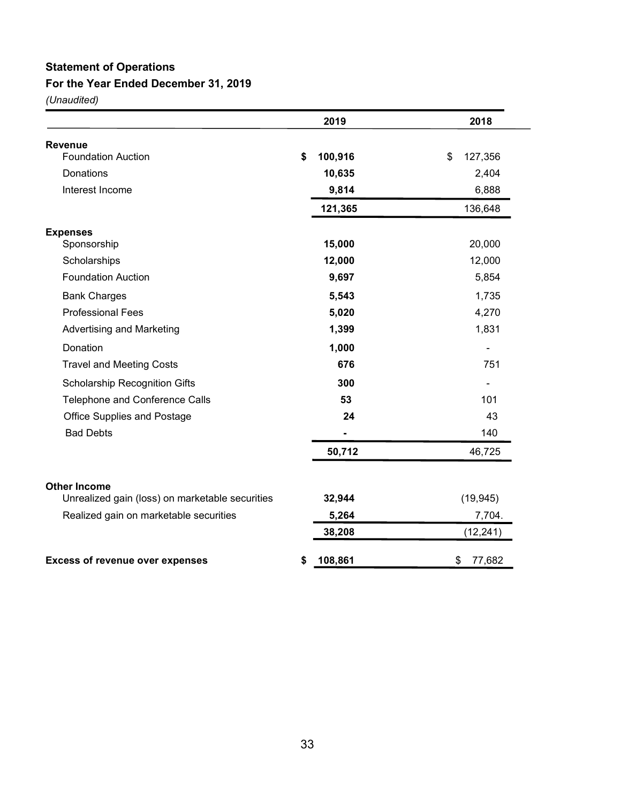# **Statement of Operations**

### **For the Year Ended December 31, 2019**

|                                                 | 2019          | 2018          |
|-------------------------------------------------|---------------|---------------|
| <b>Revenue</b>                                  |               |               |
| <b>Foundation Auction</b>                       | \$<br>100,916 | \$<br>127,356 |
| Donations                                       | 10,635        | 2,404         |
| Interest Income                                 | 9,814         | 6,888         |
|                                                 | 121,365       | 136,648       |
| <b>Expenses</b>                                 |               |               |
| Sponsorship                                     | 15,000        | 20,000        |
| Scholarships                                    | 12,000        | 12,000        |
| <b>Foundation Auction</b>                       | 9,697         | 5,854         |
| <b>Bank Charges</b>                             | 5,543         | 1,735         |
| <b>Professional Fees</b>                        | 5,020         | 4,270         |
| Advertising and Marketing                       | 1,399         | 1,831         |
| Donation                                        | 1,000         |               |
| <b>Travel and Meeting Costs</b>                 | 676           | 751           |
| <b>Scholarship Recognition Gifts</b>            | 300           |               |
| Telephone and Conference Calls                  | 53            | 101           |
| <b>Office Supplies and Postage</b>              | 24            | 43            |
| <b>Bad Debts</b>                                |               | 140           |
|                                                 | 50,712        | 46,725        |
| <b>Other Income</b>                             |               |               |
| Unrealized gain (loss) on marketable securities | 32,944        | (19, 945)     |
| Realized gain on marketable securities          | 5,264         | 7,704.        |
|                                                 | 38,208        | (12, 241)     |
| <b>Excess of revenue over expenses</b>          | \$<br>108,861 | \$<br>77,682  |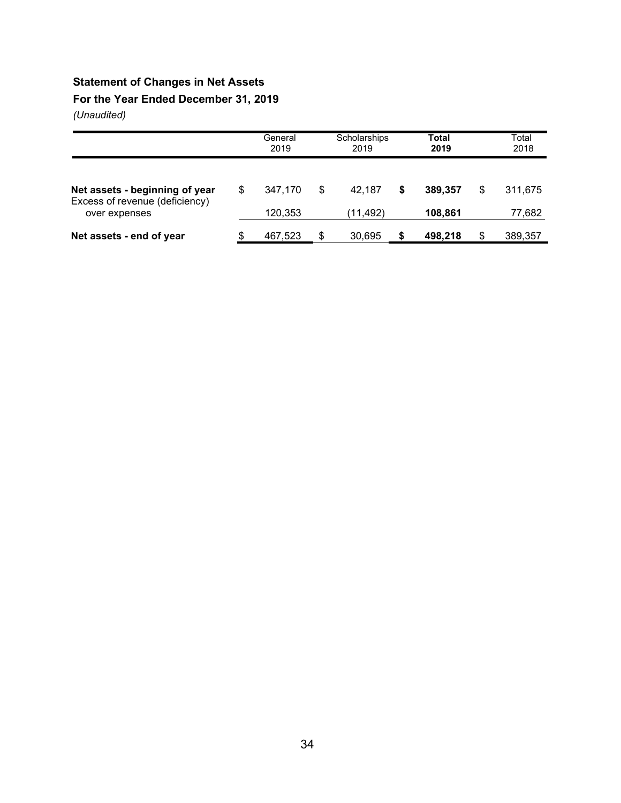### **Statement of Changes in Net Assets**

**For the Year Ended December 31, 2019** 

|                                                 |    | General<br>2019 |    | Scholarships<br>2019 |   | Total<br>2019 |    | Total<br>2018 |
|-------------------------------------------------|----|-----------------|----|----------------------|---|---------------|----|---------------|
| Net assets - beginning of year                  | \$ | 347.170         | S  | 42.187               | S | 389,357       | S  | 311.675       |
| Excess of revenue (deficiency)<br>over expenses |    | 120,353         |    | (11, 492)            |   | 108,861       |    | 77,682        |
| Net assets - end of year                        | S. | 467,523         | \$ | 30,695               | S | 498,218       | \$ | 389,357       |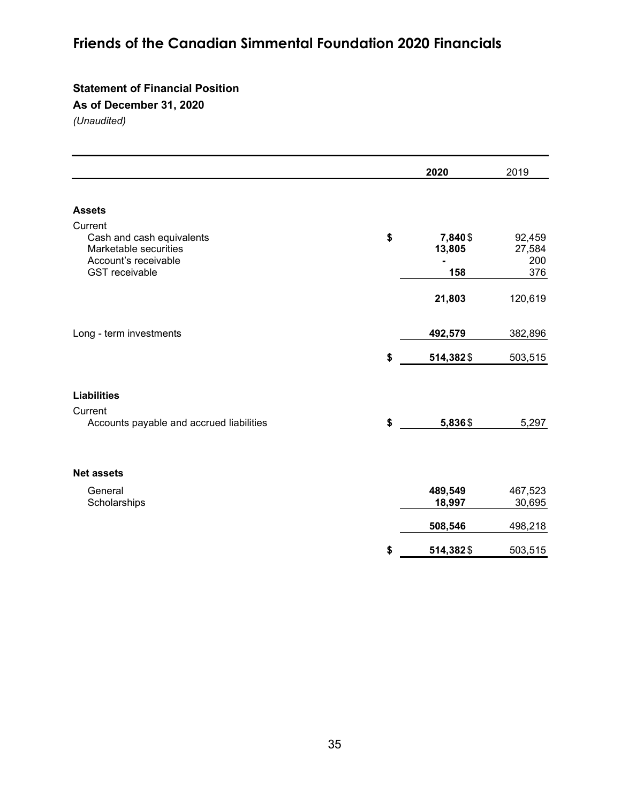# **Friends of the Canadian Simmental Foundation 2020 Financials**

### **Statement of Financial Position**

**As of December 31, 2020**

|                                                                                                                | 2020                            | 2019                           |
|----------------------------------------------------------------------------------------------------------------|---------------------------------|--------------------------------|
|                                                                                                                |                                 |                                |
| <b>Assets</b>                                                                                                  |                                 |                                |
| Current<br>Cash and cash equivalents<br>Marketable securities<br>Account's receivable<br><b>GST</b> receivable | \$<br>7,840 \$<br>13,805<br>158 | 92,459<br>27,584<br>200<br>376 |
|                                                                                                                | 21,803                          | 120,619                        |
| Long - term investments                                                                                        | 492,579                         | 382,896                        |
|                                                                                                                | \$<br>514,382\$                 | 503,515                        |
| <b>Liabilities</b>                                                                                             |                                 |                                |
| Current<br>Accounts payable and accrued liabilities                                                            | \$<br>5,836\$                   | 5,297                          |
| <b>Net assets</b>                                                                                              |                                 |                                |
| General<br>Scholarships                                                                                        | 489,549<br>18,997               | 467,523<br>30,695              |
|                                                                                                                | 508,546                         | 498,218                        |
|                                                                                                                | \$<br>514,382\$                 | 503,515                        |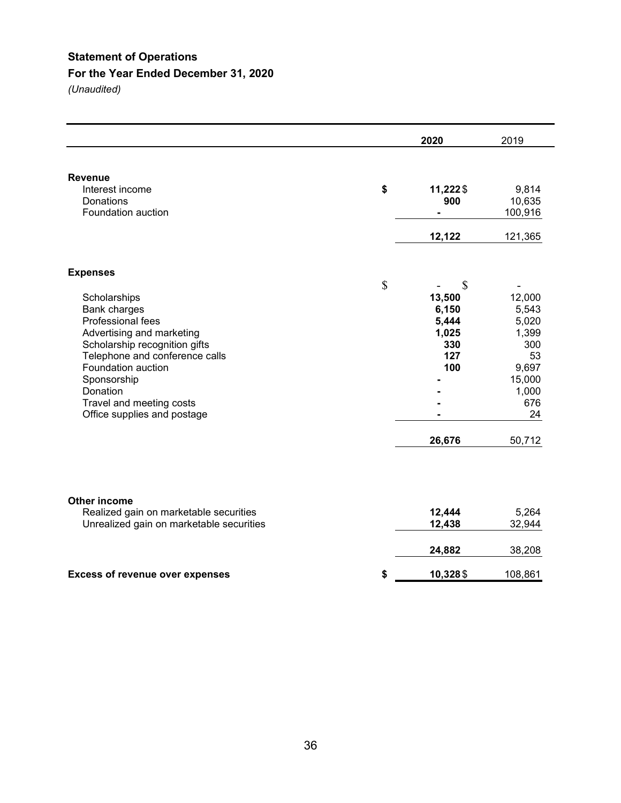### **Statement of Operations**

### **For the Year Ended December 31, 2020**

|                                                                                                                                                                                                                                                                                  | 2020                                                                         | 2019                                                                                              |
|----------------------------------------------------------------------------------------------------------------------------------------------------------------------------------------------------------------------------------------------------------------------------------|------------------------------------------------------------------------------|---------------------------------------------------------------------------------------------------|
| <b>Revenue</b><br>Interest income<br>Donations<br>Foundation auction                                                                                                                                                                                                             | \$<br>11,222\$<br>900<br>$\blacksquare$<br>12,122                            | 9,814<br>10,635<br>100,916<br>121,365                                                             |
| <b>Expenses</b><br>Scholarships<br>Bank charges<br>Professional fees<br>Advertising and marketing<br>Scholarship recognition gifts<br>Telephone and conference calls<br>Foundation auction<br>Sponsorship<br>Donation<br>Travel and meeting costs<br>Office supplies and postage | \$<br>\$<br>13,500<br>6,150<br>5,444<br>1,025<br>330<br>127<br>100<br>26,676 | 12,000<br>5,543<br>5,020<br>1,399<br>300<br>53<br>9,697<br>15,000<br>1,000<br>676<br>24<br>50,712 |
| <b>Other income</b><br>Realized gain on marketable securities<br>Unrealized gain on marketable securities                                                                                                                                                                        | 12,444<br>12,438                                                             | 5,264<br>32,944                                                                                   |
| <b>Excess of revenue over expenses</b>                                                                                                                                                                                                                                           | \$<br>24,882<br>10,328 \$                                                    | 38,208<br>108,861                                                                                 |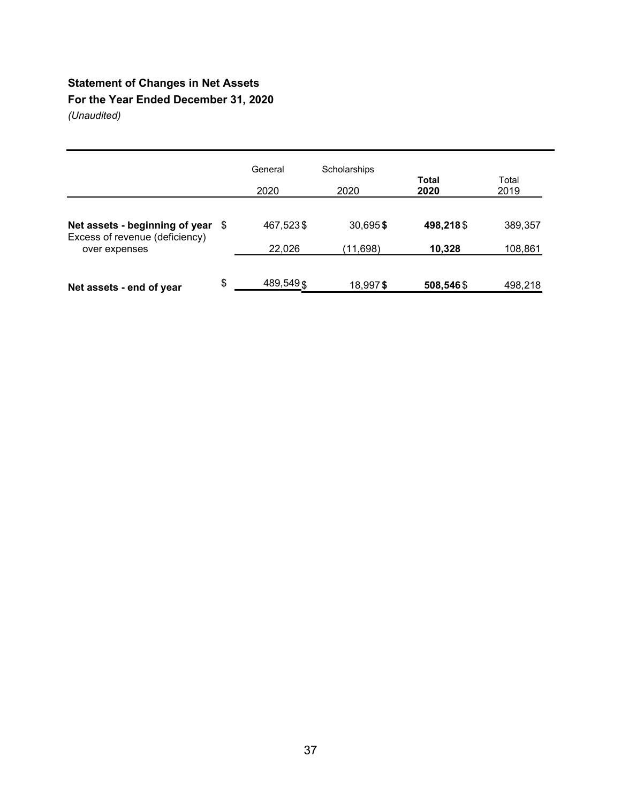### **Statement of Changes in Net Assets For the Year Ended December 31, 2020**

|                                                 | General           | Scholarships |                      |               |
|-------------------------------------------------|-------------------|--------------|----------------------|---------------|
|                                                 | 2020              | 2020         | <b>Total</b><br>2020 | Total<br>2019 |
| Net assets - beginning of year \$               | 467,523\$         | 30,695\$     | 498,218\$            | 389,357       |
| Excess of revenue (deficiency)<br>over expenses | 22,026            | (11,698)     | 10,328               | 108,861       |
| Net assets - end of year                        | \$<br>489, 549 \$ | 18,997\$     | 508,546\$            | 498,218       |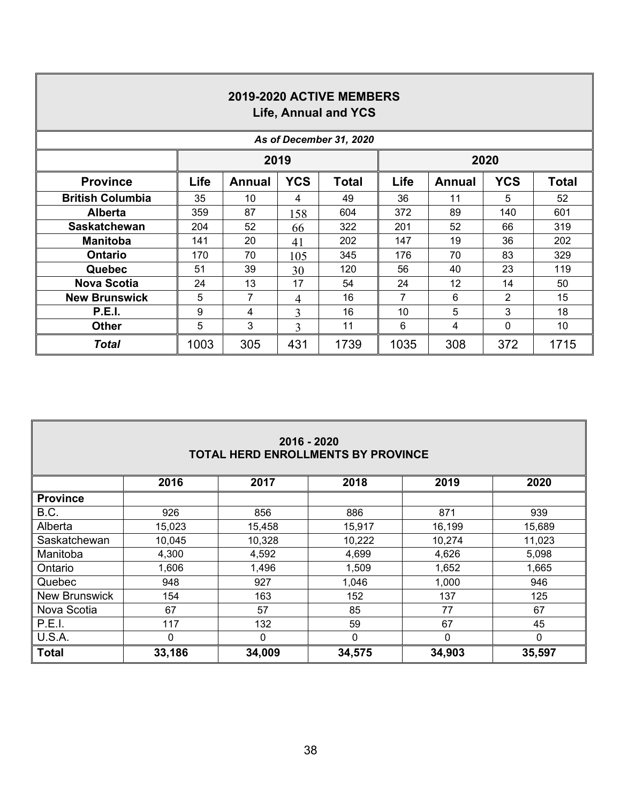| 2019-2020 ACTIVE MEMBERS<br>Life, Annual and YCS |              |                                                                             |     |      |      |     |                |      |  |  |  |
|--------------------------------------------------|--------------|-----------------------------------------------------------------------------|-----|------|------|-----|----------------|------|--|--|--|
| As of December 31, 2020                          |              |                                                                             |     |      |      |     |                |      |  |  |  |
|                                                  | 2019<br>2020 |                                                                             |     |      |      |     |                |      |  |  |  |
| <b>Province</b>                                  | Life         | <b>YCS</b><br><b>YCS</b><br><b>Total</b><br>Life<br><b>Annual</b><br>Annual |     |      |      |     |                |      |  |  |  |
| <b>British Columbia</b>                          | 35           | 10                                                                          | 4   | 49   | 36   | 11  | 5              | 52   |  |  |  |
| <b>Alberta</b>                                   | 359          | 87                                                                          | 158 | 604  | 372  | 89  | 140            | 601  |  |  |  |
| <b>Saskatchewan</b>                              | 204          | 52                                                                          | 66  | 322  | 201  | 52  | 66             | 319  |  |  |  |
| <b>Manitoba</b>                                  | 141          | 20                                                                          | 41  | 202  | 147  | 19  | 36             | 202  |  |  |  |
| <b>Ontario</b>                                   | 170          | 70                                                                          | 105 | 345  | 176  | 70  | 83             | 329  |  |  |  |
| <b>Quebec</b>                                    | 51           | 39                                                                          | 30  | 120  | 56   | 40  | 23             | 119  |  |  |  |
| <b>Nova Scotia</b>                               | 24           | 13                                                                          | 17  | 54   | 24   | 12  | 14             | 50   |  |  |  |
| <b>New Brunswick</b>                             | 5            | 7                                                                           | 4   | 16   | 7    | 6   | $\overline{2}$ | 15   |  |  |  |
| <b>P.E.I.</b>                                    | 9            | 4                                                                           | 3   | 16   | 10   | 5   | 3              | 18   |  |  |  |
| <b>Other</b>                                     | 5            | 3                                                                           | 3   | 11   | 6    | 4   | 0              | 10   |  |  |  |
| <b>Total</b>                                     | 1003         | 305                                                                         | 431 | 1739 | 1035 | 308 | 372            | 1715 |  |  |  |

Г

| 2016 - 2020<br><b>TOTAL HERD ENROLLMENTS BY PROVINCE</b> |                                      |        |        |        |        |  |  |  |  |  |  |
|----------------------------------------------------------|--------------------------------------|--------|--------|--------|--------|--|--|--|--|--|--|
|                                                          | 2016<br>2017<br>2020<br>2018<br>2019 |        |        |        |        |  |  |  |  |  |  |
| <b>Province</b>                                          |                                      |        |        |        |        |  |  |  |  |  |  |
| B.C.                                                     | 926                                  | 856    | 886    | 871    | 939    |  |  |  |  |  |  |
| Alberta                                                  | 15,023                               | 15,458 | 15,917 | 16,199 | 15,689 |  |  |  |  |  |  |
| Saskatchewan                                             | 10,045                               | 10,328 | 10,222 | 10,274 | 11,023 |  |  |  |  |  |  |
| Manitoba                                                 | 4,300                                | 4,592  | 4,699  | 4,626  | 5,098  |  |  |  |  |  |  |
| Ontario                                                  | 1,606                                | 1,496  | 1,509  | 1,652  | 1,665  |  |  |  |  |  |  |
| Quebec                                                   | 948                                  | 927    | 1,046  | 1,000  | 946    |  |  |  |  |  |  |
| <b>New Brunswick</b>                                     | 154                                  | 163    | 152    | 137    | 125    |  |  |  |  |  |  |
| Nova Scotia                                              | 67                                   | 57     | 85     | 77     | 67     |  |  |  |  |  |  |
| P.E.I.                                                   | 117                                  | 132    | 59     | 67     | 45     |  |  |  |  |  |  |
| U.S.A.                                                   | 0                                    | 0      | 0      | 0      | 0      |  |  |  |  |  |  |
| <b>Total</b>                                             | 33,186                               | 34,009 | 34,575 | 34,903 | 35,597 |  |  |  |  |  |  |